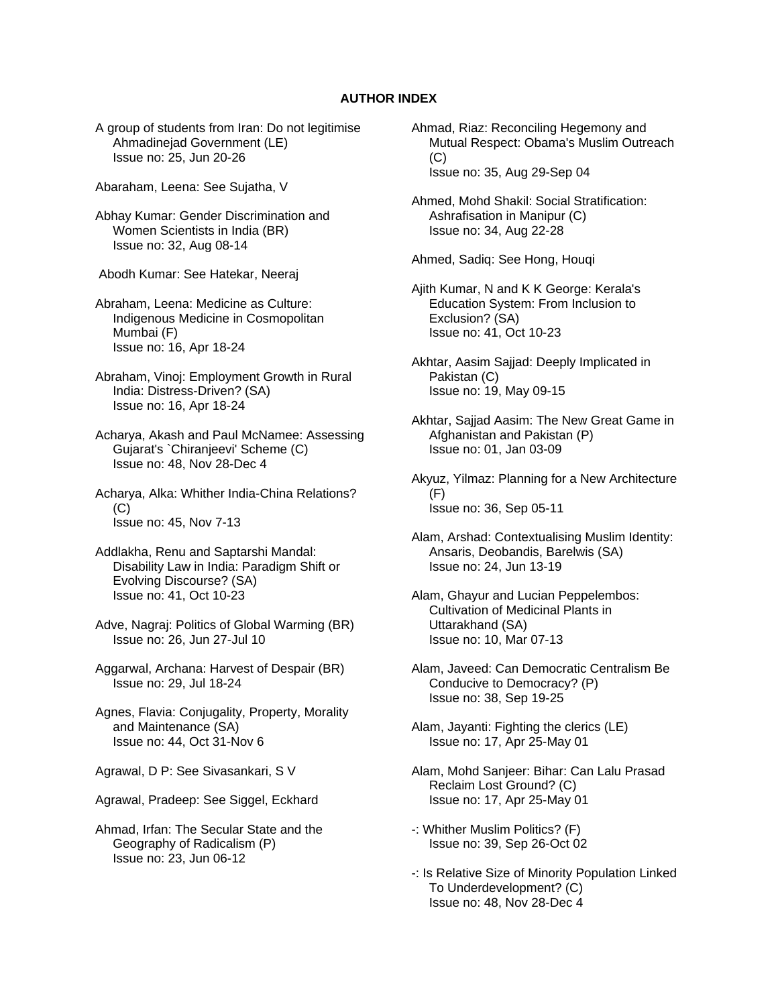## **AUTHOR INDEX**

- A group of students from Iran: Do not legitimise Ahmadinejad Government (LE) Issue no: 25, Jun 20-26
- Abaraham, Leena: See Sujatha, V
- Abhay Kumar: Gender Discrimination and Women Scientists in India (BR) Issue no: 32, Aug 08-14
- Abodh Kumar: See Hatekar, Neeraj
- Abraham, Leena: Medicine as Culture: Indigenous Medicine in Cosmopolitan Mumbai (F) Issue no: 16, Apr 18-24
- Abraham, Vinoj: Employment Growth in Rural India: Distress-Driven? (SA) Issue no: 16, Apr 18-24
- Acharya, Akash and Paul McNamee: Assessing Gujarat's `Chiranjeevi' Scheme (C) Issue no: 48, Nov 28-Dec 4
- Acharya, Alka: Whither India-China Relations?  $(C)$ Issue no: 45, Nov 7-13
- Addlakha, Renu and Saptarshi Mandal: Disability Law in India: Paradigm Shift or Evolving Discourse? (SA) Issue no: 41, Oct 10-23
- Adve, Nagraj: Politics of Global Warming (BR) Issue no: 26, Jun 27-Jul 10
- Aggarwal, Archana: Harvest of Despair (BR) Issue no: 29, Jul 18-24
- Agnes, Flavia: Conjugality, Property, Morality and Maintenance (SA) Issue no: 44, Oct 31-Nov 6
- Agrawal, D P: See Sivasankari, S V
- Agrawal, Pradeep: See Siggel, Eckhard
- Ahmad, Irfan: The Secular State and the Geography of Radicalism (P) Issue no: 23, Jun 06-12
- Ahmad, Riaz: Reconciling Hegemony and Mutual Respect: Obama's Muslim Outreach (C) Issue no: 35, Aug 29-Sep 04
- Ahmed, Mohd Shakil: Social Stratification: Ashrafisation in Manipur (C) Issue no: 34, Aug 22-28

Ahmed, Sadiq: See Hong, Houqi

- Ajith Kumar, N and K K George: Kerala's Education System: From Inclusion to Exclusion? (SA) Issue no: 41, Oct 10-23
- Akhtar, Aasim Sajjad: Deeply Implicated in Pakistan (C) Issue no: 19, May 09-15
- Akhtar, Sajjad Aasim: The New Great Game in Afghanistan and Pakistan (P) Issue no: 01, Jan 03-09
- Akyuz, Yilmaz: Planning for a New Architecture (F) Issue no: 36, Sep 05-11
- Alam, Arshad: Contextualising Muslim Identity: Ansaris, Deobandis, Barelwis (SA) Issue no: 24, Jun 13-19
- Alam, Ghayur and Lucian Peppelembos: Cultivation of Medicinal Plants in Uttarakhand (SA) Issue no: 10, Mar 07-13
- Alam, Javeed: Can Democratic Centralism Be Conducive to Democracy? (P) Issue no: 38, Sep 19-25
- Alam, Jayanti: Fighting the clerics (LE) Issue no: 17, Apr 25-May 01
- Alam, Mohd Sanjeer: Bihar: Can Lalu Prasad Reclaim Lost Ground? (C) Issue no: 17, Apr 25-May 01
- -: Whither Muslim Politics? (F) Issue no: 39, Sep 26-Oct 02
- -: Is Relative Size of Minority Population Linked To Underdevelopment? (C) Issue no: 48, Nov 28-Dec 4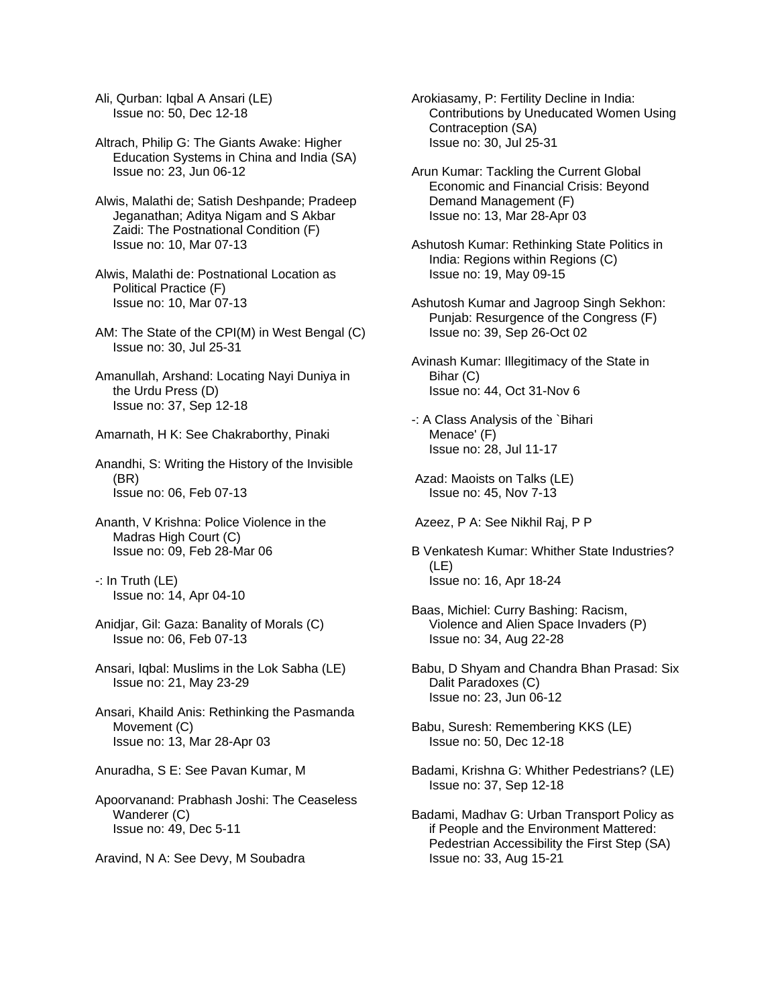Ali, Qurban: Iqbal A Ansari (LE) Issue no: 50, Dec 12-18

Altrach, Philip G: The Giants Awake: Higher Education Systems in China and India (SA) Issue no: 23, Jun 06-12

- Alwis, Malathi de; Satish Deshpande; Pradeep Jeganathan; Aditya Nigam and S Akbar Zaidi: The Postnational Condition (F) Issue no: 10, Mar 07-13
- Alwis, Malathi de: Postnational Location as Political Practice (F) Issue no: 10, Mar 07-13
- AM: The State of the CPI(M) in West Bengal (C) Issue no: 30, Jul 25-31
- Amanullah, Arshand: Locating Nayi Duniya in the Urdu Press (D) Issue no: 37, Sep 12-18
- Amarnath, H K: See Chakraborthy, Pinaki
- Anandhi, S: Writing the History of the Invisible (BR) Issue no: 06, Feb 07-13
- Ananth, V Krishna: Police Violence in the Madras High Court (C) Issue no: 09, Feb 28-Mar 06
- -: In Truth (LE) Issue no: 14, Apr 04-10
- Anidjar, Gil: Gaza: Banality of Morals (C) Issue no: 06, Feb 07-13
- Ansari, Iqbal: Muslims in the Lok Sabha (LE) Issue no: 21, May 23-29
- Ansari, Khaild Anis: Rethinking the Pasmanda Movement (C) Issue no: 13, Mar 28-Apr 03
- Anuradha, S E: See Pavan Kumar, M
- Apoorvanand: Prabhash Joshi: The Ceaseless Wanderer (C) Issue no: 49, Dec 5-11
- Aravind, N A: See Devy, M Soubadra

Arokiasamy, P: Fertility Decline in India: Contributions by Uneducated Women Using Contraception (SA) Issue no: 30, Jul 25-31

- Arun Kumar: Tackling the Current Global Economic and Financial Crisis: Beyond Demand Management (F) Issue no: 13, Mar 28-Apr 03
- Ashutosh Kumar: Rethinking State Politics in India: Regions within Regions (C) Issue no: 19, May 09-15
- Ashutosh Kumar and Jagroop Singh Sekhon: Punjab: Resurgence of the Congress (F) Issue no: 39, Sep 26-Oct 02
- Avinash Kumar: Illegitimacy of the State in Bihar (C) Issue no: 44, Oct 31-Nov 6
- -: A Class Analysis of the `Bihari Menace' (F) Issue no: 28, Jul 11-17
- Azad: Maoists on Talks (LE) Issue no: 45, Nov 7-13
- Azeez, P A: See Nikhil Raj, P P
- B Venkatesh Kumar: Whither State Industries? (LE) Issue no: 16, Apr 18-24
- Baas, Michiel: Curry Bashing: Racism, Violence and Alien Space Invaders (P) Issue no: 34, Aug 22-28
- Babu, D Shyam and Chandra Bhan Prasad: Six Dalit Paradoxes (C) Issue no: 23, Jun 06-12
- Babu, Suresh: Remembering KKS (LE) Issue no: 50, Dec 12-18
- Badami, Krishna G: Whither Pedestrians? (LE) Issue no: 37, Sep 12-18
- Badami, Madhav G: Urban Transport Policy as if People and the Environment Mattered: Pedestrian Accessibility the First Step (SA) Issue no: 33, Aug 15-21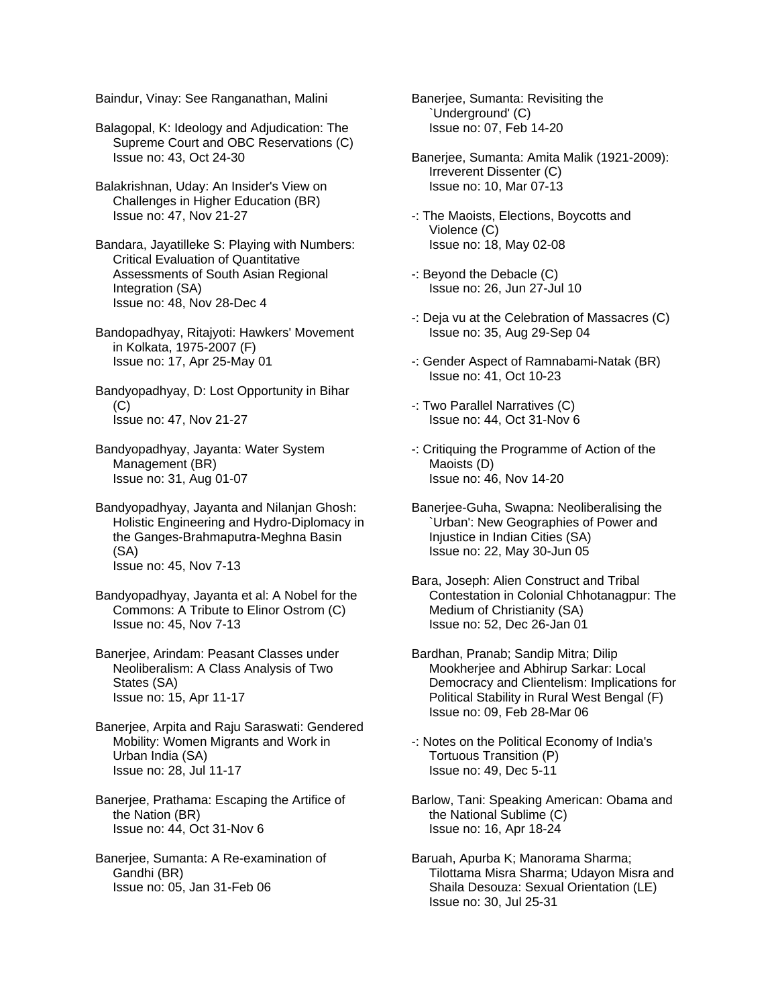Baindur, Vinay: See Ranganathan, Malini

Balagopal, K: Ideology and Adjudication: The Supreme Court and OBC Reservations (C) Issue no: 43, Oct 24-30

Balakrishnan, Uday: An Insider's View on Challenges in Higher Education (BR) Issue no: 47, Nov 21-27

Bandara, Jayatilleke S: Playing with Numbers: Critical Evaluation of Quantitative Assessments of South Asian Regional Integration (SA) Issue no: 48, Nov 28-Dec 4

Bandopadhyay, Ritajyoti: Hawkers' Movement in Kolkata, 1975-2007 (F) Issue no: 17, Apr 25-May 01

Bandyopadhyay, D: Lost Opportunity in Bihar  $(C)$ Issue no: 47, Nov 21-27

Bandyopadhyay, Jayanta: Water System Management (BR) Issue no: 31, Aug 01-07

Bandyopadhyay, Jayanta and Nilanjan Ghosh: Holistic Engineering and Hydro-Diplomacy in the Ganges-Brahmaputra-Meghna Basin (SA) Issue no: 45, Nov 7-13

Bandyopadhyay, Jayanta et al: A Nobel for the Commons: A Tribute to Elinor Ostrom (C) Issue no: 45, Nov 7-13

Banerjee, Arindam: Peasant Classes under Neoliberalism: A Class Analysis of Two States (SA) Issue no: 15, Apr 11-17

Banerjee, Arpita and Raju Saraswati: Gendered Mobility: Women Migrants and Work in Urban India (SA) Issue no: 28, Jul 11-17

Banerjee, Prathama: Escaping the Artifice of the Nation (BR) Issue no: 44, Oct 31-Nov 6

Banerjee, Sumanta: A Re-examination of Gandhi (BR) Issue no: 05, Jan 31-Feb 06

Banerjee, Sumanta: Revisiting the `Underground' (C) Issue no: 07, Feb 14-20

Banerjee, Sumanta: Amita Malik (1921-2009): Irreverent Dissenter (C) Issue no: 10, Mar 07-13

- -: The Maoists, Elections, Boycotts and Violence (C) Issue no: 18, May 02-08
- -: Beyond the Debacle (C) Issue no: 26, Jun 27-Jul 10
- -: Deja vu at the Celebration of Massacres (C) Issue no: 35, Aug 29-Sep 04
- -: Gender Aspect of Ramnabami-Natak (BR) Issue no: 41, Oct 10-23
- -: Two Parallel Narratives (C) Issue no: 44, Oct 31-Nov 6
- -: Critiquing the Programme of Action of the Maoists (D) Issue no: 46, Nov 14-20
- Banerjee-Guha, Swapna: Neoliberalising the `Urban': New Geographies of Power and Injustice in Indian Cities (SA) Issue no: 22, May 30-Jun 05
- Bara, Joseph: Alien Construct and Tribal Contestation in Colonial Chhotanagpur: The Medium of Christianity (SA) Issue no: 52, Dec 26-Jan 01
- Bardhan, Pranab; Sandip Mitra; Dilip Mookherjee and Abhirup Sarkar: Local Democracy and Clientelism: Implications for Political Stability in Rural West Bengal (F) Issue no: 09, Feb 28-Mar 06
- -: Notes on the Political Economy of India's Tortuous Transition (P) Issue no: 49, Dec 5-11
- Barlow, Tani: Speaking American: Obama and the National Sublime (C) Issue no: 16, Apr 18-24
- Baruah, Apurba K; Manorama Sharma; Tilottama Misra Sharma; Udayon Misra and Shaila Desouza: Sexual Orientation (LE) Issue no: 30, Jul 25-31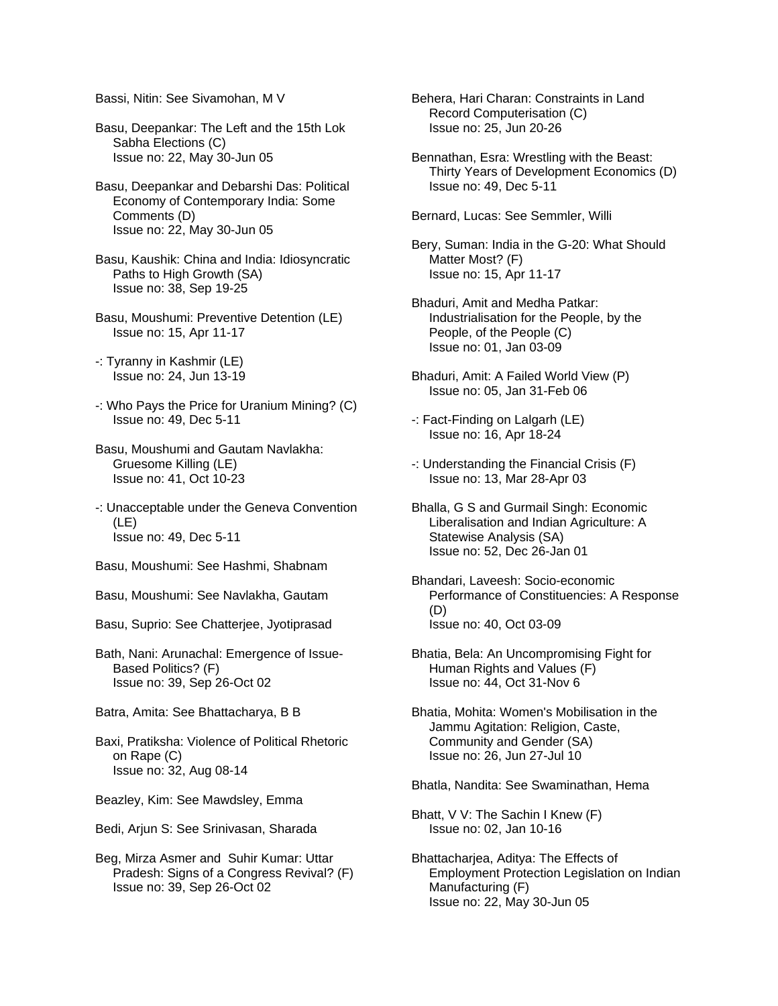Bassi, Nitin: See Sivamohan, M V

- Basu, Deepankar: The Left and the 15th Lok Sabha Elections (C) Issue no: 22, May 30-Jun 05
- Basu, Deepankar and Debarshi Das: Political Economy of Contemporary India: Some Comments (D) Issue no: 22, May 30-Jun 05
- Basu, Kaushik: China and India: Idiosyncratic Paths to High Growth (SA) Issue no: 38, Sep 19-25
- Basu, Moushumi: Preventive Detention (LE) Issue no: 15, Apr 11-17
- -: Tyranny in Kashmir (LE) Issue no: 24, Jun 13-19
- -: Who Pays the Price for Uranium Mining? (C) Issue no: 49, Dec 5-11
- Basu, Moushumi and Gautam Navlakha: Gruesome Killing (LE) Issue no: 41, Oct 10-23
- -: Unacceptable under the Geneva Convention (LE) Issue no: 49, Dec 5-11
- Basu, Moushumi: See Hashmi, Shabnam
- Basu, Moushumi: See Navlakha, Gautam
- Basu, Suprio: See Chatterjee, Jyotiprasad
- Bath, Nani: Arunachal: Emergence of Issue- Based Politics? (F) Issue no: 39, Sep 26-Oct 02
- Batra, Amita: See Bhattacharya, B B
- Baxi, Pratiksha: Violence of Political Rhetoric on Rape (C) Issue no: 32, Aug 08-14
- Beazley, Kim: See Mawdsley, Emma
- Bedi, Arjun S: See Srinivasan, Sharada
- Beg, Mirza Asmer and Suhir Kumar: Uttar Pradesh: Signs of a Congress Revival? (F) Issue no: 39, Sep 26-Oct 02
- Behera, Hari Charan: Constraints in Land Record Computerisation (C) Issue no: 25, Jun 20-26
- Bennathan, Esra: Wrestling with the Beast: Thirty Years of Development Economics (D) Issue no: 49, Dec 5-11
- Bernard, Lucas: See Semmler, Willi
- Bery, Suman: India in the G-20: What Should Matter Most? (F) Issue no: 15, Apr 11-17
- Bhaduri, Amit and Medha Patkar: Industrialisation for the People, by the People, of the People (C) Issue no: 01, Jan 03-09
- Bhaduri, Amit: A Failed World View (P) Issue no: 05, Jan 31-Feb 06
- -: Fact-Finding on Lalgarh (LE) Issue no: 16, Apr 18-24
- -: Understanding the Financial Crisis (F) Issue no: 13, Mar 28-Apr 03
- Bhalla, G S and Gurmail Singh: Economic Liberalisation and Indian Agriculture: A Statewise Analysis (SA) Issue no: 52, Dec 26-Jan 01
- Bhandari, Laveesh: Socio-economic Performance of Constituencies: A Response (D) Issue no: 40, Oct 03-09
- Bhatia, Bela: An Uncompromising Fight for Human Rights and Values (F) Issue no: 44, Oct 31-Nov 6
- Bhatia, Mohita: Women's Mobilisation in the Jammu Agitation: Religion, Caste, Community and Gender (SA) Issue no: 26, Jun 27-Jul 10
- Bhatla, Nandita: See Swaminathan, Hema
- Bhatt, V V: The Sachin I Knew (F) Issue no: 02, Jan 10-16
- Bhattacharjea, Aditya: The Effects of Employment Protection Legislation on Indian Manufacturing (F) Issue no: 22, May 30-Jun 05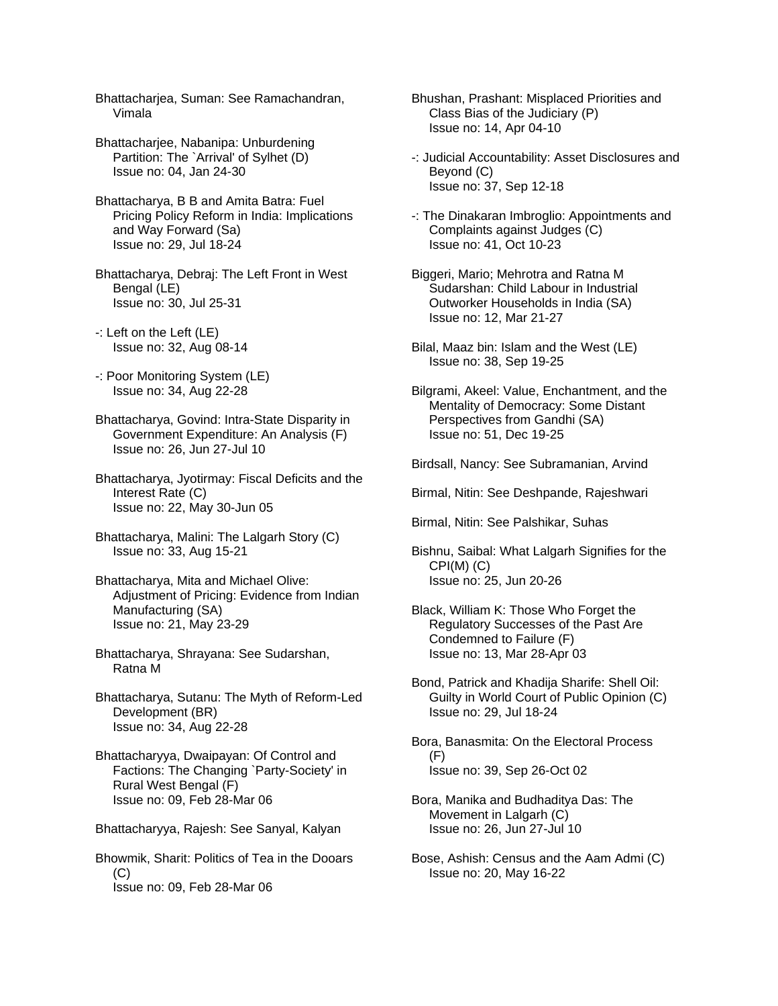Bhattacharjea, Suman: See Ramachandran, Vimala

- Bhattacharjee, Nabanipa: Unburdening Partition: The `Arrival' of Sylhet (D) Issue no: 04, Jan 24-30
- Bhattacharya, B B and Amita Batra: Fuel Pricing Policy Reform in India: Implications and Way Forward (Sa) Issue no: 29, Jul 18-24
- Bhattacharya, Debraj: The Left Front in West Bengal (LE) Issue no: 30, Jul 25-31
- -: Left on the Left (LE) Issue no: 32, Aug 08-14
- -: Poor Monitoring System (LE) Issue no: 34, Aug 22-28
- Bhattacharya, Govind: Intra-State Disparity in Government Expenditure: An Analysis (F) Issue no: 26, Jun 27-Jul 10
- Bhattacharya, Jyotirmay: Fiscal Deficits and the Interest Rate (C) Issue no: 22, May 30-Jun 05
- Bhattacharya, Malini: The Lalgarh Story (C) Issue no: 33, Aug 15-21
- Bhattacharya, Mita and Michael Olive: Adjustment of Pricing: Evidence from Indian Manufacturing (SA) Issue no: 21, May 23-29
- Bhattacharya, Shrayana: See Sudarshan, Ratna M
- Bhattacharya, Sutanu: The Myth of Reform-Led Development (BR) Issue no: 34, Aug 22-28
- Bhattacharyya, Dwaipayan: Of Control and Factions: The Changing `Party-Society' in Rural West Bengal (F) Issue no: 09, Feb 28-Mar 06
- Bhattacharyya, Rajesh: See Sanyal, Kalyan
- Bhowmik, Sharit: Politics of Tea in the Dooars  $(C)$ Issue no: 09, Feb 28-Mar 06
- Bhushan, Prashant: Misplaced Priorities and Class Bias of the Judiciary (P) Issue no: 14, Apr 04-10
- -: Judicial Accountability: Asset Disclosures and Beyond (C) Issue no: 37, Sep 12-18
- -: The Dinakaran Imbroglio: Appointments and Complaints against Judges (C) Issue no: 41, Oct 10-23
- Biggeri, Mario; Mehrotra and Ratna M Sudarshan: Child Labour in Industrial Outworker Households in India (SA) Issue no: 12, Mar 21-27
- Bilal, Maaz bin: Islam and the West (LE) Issue no: 38, Sep 19-25
- Bilgrami, Akeel: Value, Enchantment, and the Mentality of Democracy: Some Distant Perspectives from Gandhi (SA) Issue no: 51, Dec 19-25
- Birdsall, Nancy: See Subramanian, Arvind
- Birmal, Nitin: See Deshpande, Rajeshwari
- Birmal, Nitin: See Palshikar, Suhas
- Bishnu, Saibal: What Lalgarh Signifies for the CPI(M) (C) Issue no: 25, Jun 20-26
- Black, William K: Those Who Forget the Regulatory Successes of the Past Are Condemned to Failure (F) Issue no: 13, Mar 28-Apr 03
- Bond, Patrick and Khadija Sharife: Shell Oil: Guilty in World Court of Public Opinion (C) Issue no: 29, Jul 18-24
- Bora, Banasmita: On the Electoral Process (F) Issue no: 39, Sep 26-Oct 02
- Bora, Manika and Budhaditya Das: The Movement in Lalgarh (C) Issue no: 26, Jun 27-Jul 10
- Bose, Ashish: Census and the Aam Admi (C) Issue no: 20, May 16-22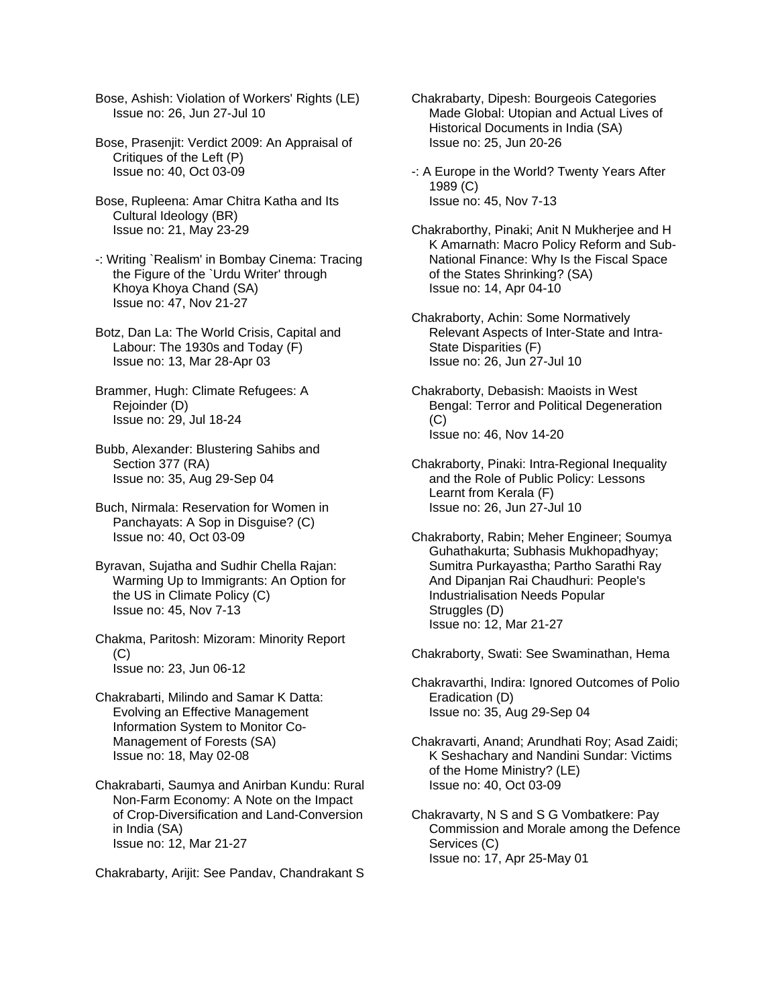Bose, Ashish: Violation of Workers' Rights (LE) Issue no: 26, Jun 27-Jul 10

- Bose, Prasenjit: Verdict 2009: An Appraisal of Critiques of the Left (P) Issue no: 40, Oct 03-09
- Bose, Rupleena: Amar Chitra Katha and Its Cultural Ideology (BR) Issue no: 21, May 23-29
- -: Writing `Realism' in Bombay Cinema: Tracing the Figure of the `Urdu Writer' through Khoya Khoya Chand (SA) Issue no: 47, Nov 21-27
- Botz, Dan La: The World Crisis, Capital and Labour: The 1930s and Today (F) Issue no: 13, Mar 28-Apr 03
- Brammer, Hugh: Climate Refugees: A Rejoinder (D) Issue no: 29, Jul 18-24
- Bubb, Alexander: Blustering Sahibs and Section 377 (RA) Issue no: 35, Aug 29-Sep 04
- Buch, Nirmala: Reservation for Women in Panchayats: A Sop in Disguise? (C) Issue no: 40, Oct 03-09
- Byravan, Sujatha and Sudhir Chella Rajan: Warming Up to Immigrants: An Option for the US in Climate Policy (C) Issue no: 45, Nov 7-13
- Chakma, Paritosh: Mizoram: Minority Report  $(C)$ Issue no: 23, Jun 06-12
- Chakrabarti, Milindo and Samar K Datta: Evolving an Effective Management Information System to Monitor Co- Management of Forests (SA) Issue no: 18, May 02-08
- Chakrabarti, Saumya and Anirban Kundu: Rural Non-Farm Economy: A Note on the Impact of Crop-Diversification and Land-Conversion in India (SA) Issue no: 12, Mar 21-27

Chakrabarty, Arijit: See Pandav, Chandrakant S

- Chakrabarty, Dipesh: Bourgeois Categories Made Global: Utopian and Actual Lives of Historical Documents in India (SA) Issue no: 25, Jun 20-26
- -: A Europe in the World? Twenty Years After 1989 (C) Issue no: 45, Nov 7-13
- Chakraborthy, Pinaki; Anit N Mukherjee and H K Amarnath: Macro Policy Reform and Sub- National Finance: Why Is the Fiscal Space of the States Shrinking? (SA) Issue no: 14, Apr 04-10
- Chakraborty, Achin: Some Normatively Relevant Aspects of Inter-State and Intra- State Disparities (F) Issue no: 26, Jun 27-Jul 10
- Chakraborty, Debasish: Maoists in West Bengal: Terror and Political Degeneration (C) Issue no: 46, Nov 14-20
- Chakraborty, Pinaki: Intra-Regional Inequality and the Role of Public Policy: Lessons Learnt from Kerala (F) Issue no: 26, Jun 27-Jul 10
- Chakraborty, Rabin; Meher Engineer; Soumya Guhathakurta; Subhasis Mukhopadhyay; Sumitra Purkayastha; Partho Sarathi Ray And Dipanjan Rai Chaudhuri: People's Industrialisation Needs Popular Struggles (D) Issue no: 12, Mar 21-27

Chakraborty, Swati: See Swaminathan, Hema

- Chakravarthi, Indira: Ignored Outcomes of Polio Eradication (D) Issue no: 35, Aug 29-Sep 04
- Chakravarti, Anand; Arundhati Roy; Asad Zaidi; K Seshachary and Nandini Sundar: Victims of the Home Ministry? (LE) Issue no: 40, Oct 03-09
- Chakravarty, N S and S G Vombatkere: Pay Commission and Morale among the Defence Services (C) Issue no: 17, Apr 25-May 01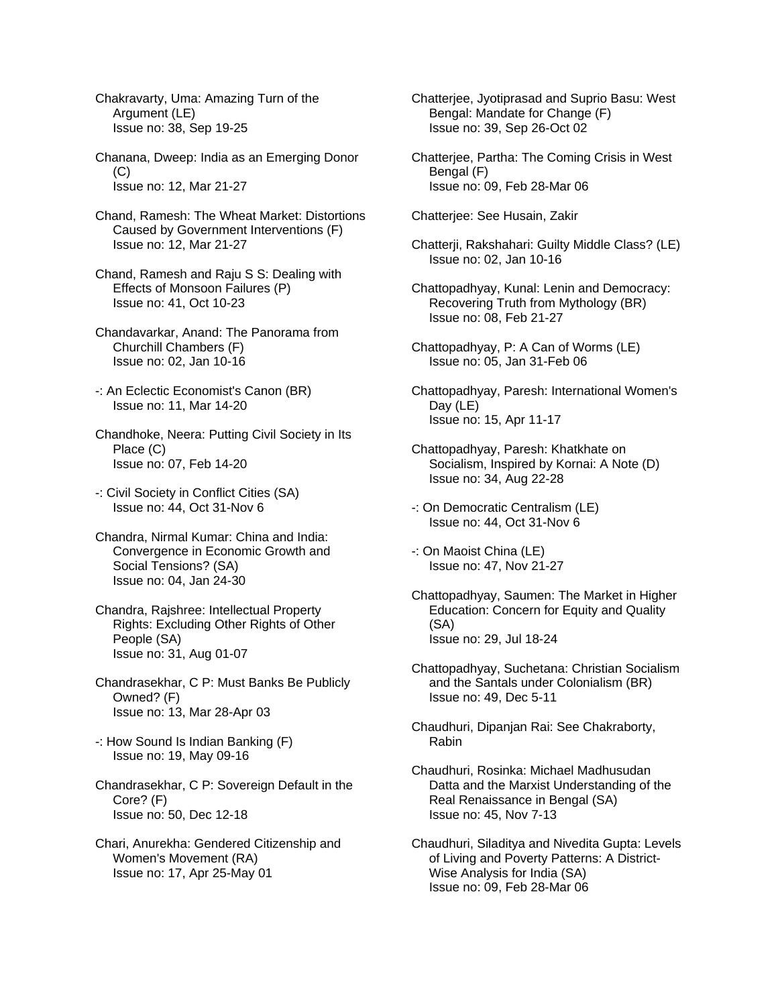Chakravarty, Uma: Amazing Turn of the Argument (LE) Issue no: 38, Sep 19-25

Chanana, Dweep: India as an Emerging Donor  $(C)$ Issue no: 12, Mar 21-27

Chand, Ramesh: The Wheat Market: Distortions Caused by Government Interventions (F) Issue no: 12, Mar 21-27

- Chand, Ramesh and Raju S S: Dealing with Effects of Monsoon Failures (P) Issue no: 41, Oct 10-23
- Chandavarkar, Anand: The Panorama from Churchill Chambers (F) Issue no: 02, Jan 10-16
- -: An Eclectic Economist's Canon (BR) Issue no: 11, Mar 14-20

Chandhoke, Neera: Putting Civil Society in Its Place (C) Issue no: 07, Feb 14-20

- -: Civil Society in Conflict Cities (SA) Issue no: 44, Oct 31-Nov 6
- Chandra, Nirmal Kumar: China and India: Convergence in Economic Growth and Social Tensions? (SA) Issue no: 04, Jan 24-30
- Chandra, Rajshree: Intellectual Property Rights: Excluding Other Rights of Other People (SA) Issue no: 31, Aug 01-07
- Chandrasekhar, C P: Must Banks Be Publicly Owned? (F) Issue no: 13, Mar 28-Apr 03
- -: How Sound Is Indian Banking (F) Issue no: 19, May 09-16
- Chandrasekhar, C P: Sovereign Default in the Core? (F) Issue no: 50, Dec 12-18
- Chari, Anurekha: Gendered Citizenship and Women's Movement (RA) Issue no: 17, Apr 25-May 01
- Chatterjee, Jyotiprasad and Suprio Basu: West Bengal: Mandate for Change (F) Issue no: 39, Sep 26-Oct 02
- Chatterjee, Partha: The Coming Crisis in West Bengal (F) Issue no: 09, Feb 28-Mar 06
- Chatterjee: See Husain, Zakir
- Chatterji, Rakshahari: Guilty Middle Class? (LE) Issue no: 02, Jan 10-16
- Chattopadhyay, Kunal: Lenin and Democracy: Recovering Truth from Mythology (BR) Issue no: 08, Feb 21-27
- Chattopadhyay, P: A Can of Worms (LE) Issue no: 05, Jan 31-Feb 06
- Chattopadhyay, Paresh: International Women's Day (LE) Issue no: 15, Apr 11-17
- Chattopadhyay, Paresh: Khatkhate on Socialism, Inspired by Kornai: A Note (D) Issue no: 34, Aug 22-28
- -: On Democratic Centralism (LE) Issue no: 44, Oct 31-Nov 6
- -: On Maoist China (LE) Issue no: 47, Nov 21-27
- Chattopadhyay, Saumen: The Market in Higher Education: Concern for Equity and Quality (SA) Issue no: 29, Jul 18-24
- Chattopadhyay, Suchetana: Christian Socialism and the Santals under Colonialism (BR) Issue no: 49, Dec 5-11
- Chaudhuri, Dipanjan Rai: See Chakraborty, Rabin
- Chaudhuri, Rosinka: Michael Madhusudan Datta and the Marxist Understanding of the Real Renaissance in Bengal (SA) Issue no: 45, Nov 7-13
- Chaudhuri, Siladitya and Nivedita Gupta: Levels of Living and Poverty Patterns: A District- Wise Analysis for India (SA) Issue no: 09, Feb 28-Mar 06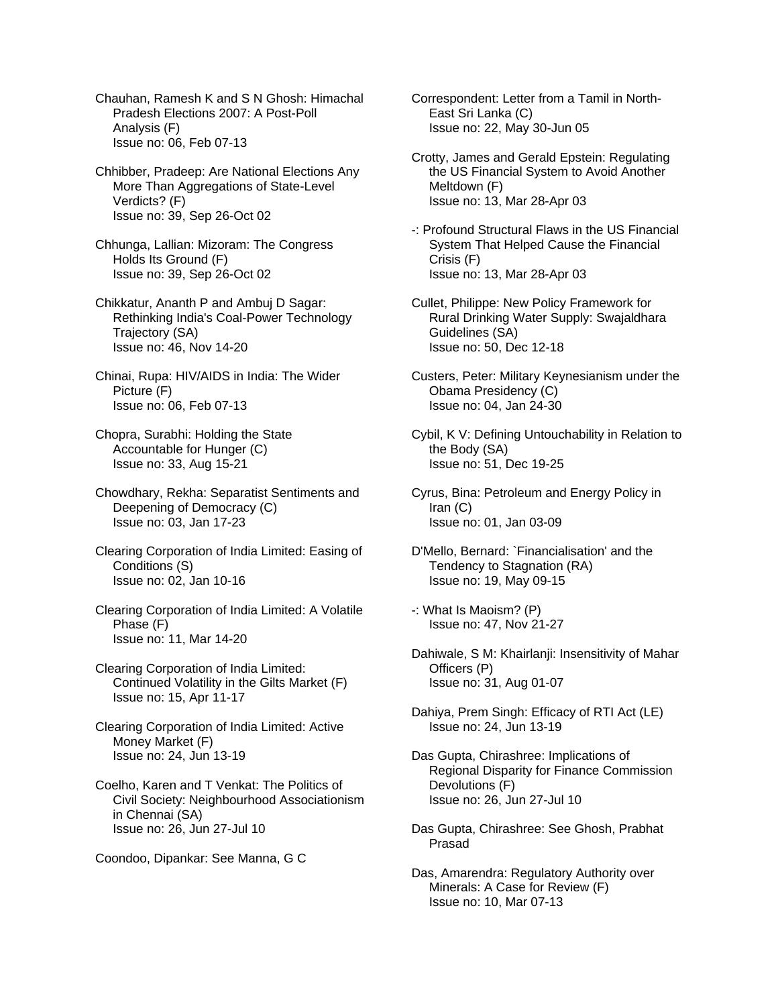Chauhan, Ramesh K and S N Ghosh: Himachal Pradesh Elections 2007: A Post-Poll Analysis (F) Issue no: 06, Feb 07-13

- Chhibber, Pradeep: Are National Elections Any More Than Aggregations of State-Level Verdicts? (F) Issue no: 39, Sep 26-Oct 02
- Chhunga, Lallian: Mizoram: The Congress Holds Its Ground (F) Issue no: 39, Sep 26-Oct 02
- Chikkatur, Ananth P and Ambuj D Sagar: Rethinking India's Coal-Power Technology Trajectory (SA) Issue no: 46, Nov 14-20
- Chinai, Rupa: HIV/AIDS in India: The Wider Picture (F) Issue no: 06, Feb 07-13
- Chopra, Surabhi: Holding the State Accountable for Hunger (C) Issue no: 33, Aug 15-21
- Chowdhary, Rekha: Separatist Sentiments and Deepening of Democracy (C) Issue no: 03, Jan 17-23
- Clearing Corporation of India Limited: Easing of Conditions (S) Issue no: 02, Jan 10-16
- Clearing Corporation of India Limited: A Volatile Phase (F) Issue no: 11, Mar 14-20
- Clearing Corporation of India Limited: Continued Volatility in the Gilts Market (F) Issue no: 15, Apr 11-17
- Clearing Corporation of India Limited: Active Money Market (F) Issue no: 24, Jun 13-19
- Coelho, Karen and T Venkat: The Politics of Civil Society: Neighbourhood Associationism in Chennai (SA) Issue no: 26, Jun 27-Jul 10
- Coondoo, Dipankar: See Manna, G C

Correspondent: Letter from a Tamil in North- East Sri Lanka (C) Issue no: 22, May 30-Jun 05

- Crotty, James and Gerald Epstein: Regulating the US Financial System to Avoid Another Meltdown (F) Issue no: 13, Mar 28-Apr 03
- -: Profound Structural Flaws in the US Financial System That Helped Cause the Financial Crisis (F) Issue no: 13, Mar 28-Apr 03
- Cullet, Philippe: New Policy Framework for Rural Drinking Water Supply: Swajaldhara Guidelines (SA) Issue no: 50, Dec 12-18
- Custers, Peter: Military Keynesianism under the Obama Presidency (C) Issue no: 04, Jan 24-30
- Cybil, K V: Defining Untouchability in Relation to the Body (SA) Issue no: 51, Dec 19-25
- Cyrus, Bina: Petroleum and Energy Policy in Iran (C) Issue no: 01, Jan 03-09
- D'Mello, Bernard: `Financialisation' and the Tendency to Stagnation (RA) Issue no: 19, May 09-15
- -: What Is Maoism? (P) Issue no: 47, Nov 21-27
- Dahiwale, S M: Khairlanji: Insensitivity of Mahar Officers (P) Issue no: 31, Aug 01-07
- Dahiya, Prem Singh: Efficacy of RTI Act (LE) Issue no: 24, Jun 13-19
- Das Gupta, Chirashree: Implications of Regional Disparity for Finance Commission Devolutions (F) Issue no: 26, Jun 27-Jul 10
- Das Gupta, Chirashree: See Ghosh, Prabhat Prasad
- Das, Amarendra: Regulatory Authority over Minerals: A Case for Review (F) Issue no: 10, Mar 07-13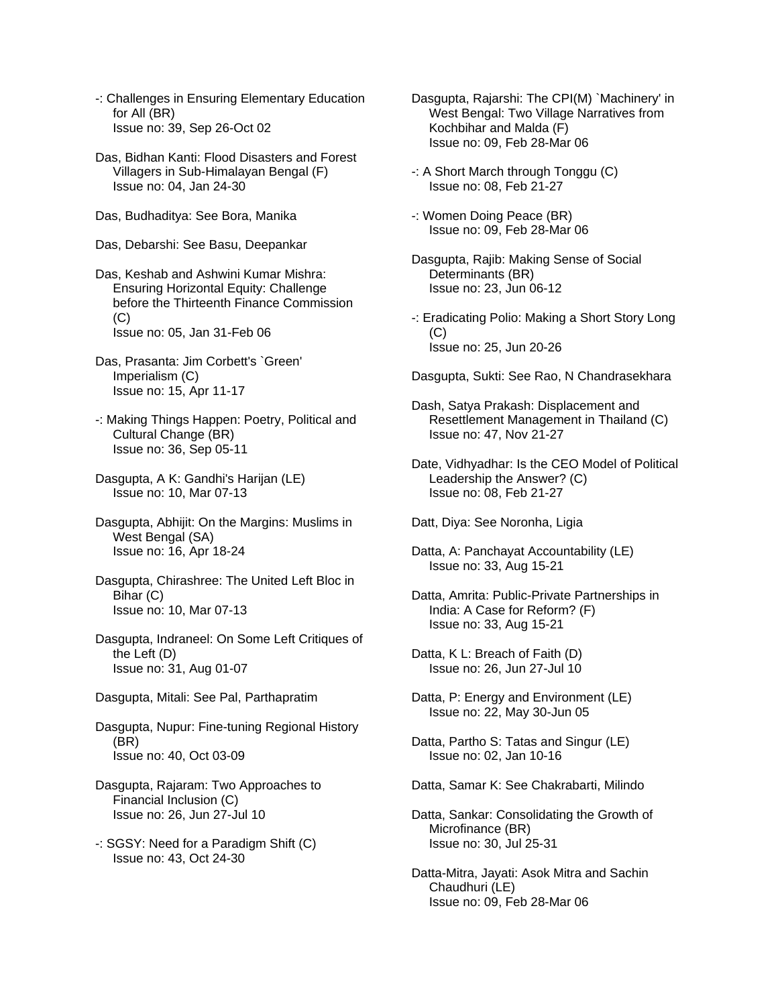- -: Challenges in Ensuring Elementary Education for All (BR) Issue no: 39, Sep 26-Oct 02
- Das, Bidhan Kanti: Flood Disasters and Forest Villagers in Sub-Himalayan Bengal (F) Issue no: 04, Jan 24-30
- Das, Budhaditya: See Bora, Manika
- Das, Debarshi: See Basu, Deepankar
- Das, Keshab and Ashwini Kumar Mishra: Ensuring Horizontal Equity: Challenge before the Thirteenth Finance Commission  $(C)$ Issue no: 05, Jan 31-Feb 06
- Das, Prasanta: Jim Corbett's `Green' Imperialism (C) Issue no: 15, Apr 11-17
- -: Making Things Happen: Poetry, Political and Cultural Change (BR) Issue no: 36, Sep 05-11
- Dasgupta, A K: Gandhi's Harijan (LE) Issue no: 10, Mar 07-13
- Dasgupta, Abhijit: On the Margins: Muslims in West Bengal (SA) Issue no: 16, Apr 18-24
- Dasgupta, Chirashree: The United Left Bloc in Bihar (C) Issue no: 10, Mar 07-13
- Dasgupta, Indraneel: On Some Left Critiques of the Left (D) Issue no: 31, Aug 01-07
- Dasgupta, Mitali: See Pal, Parthapratim
- Dasgupta, Nupur: Fine-tuning Regional History (BR) Issue no: 40, Oct 03-09
- Dasgupta, Rajaram: Two Approaches to Financial Inclusion (C) Issue no: 26, Jun 27-Jul 10
- -: SGSY: Need for a Paradigm Shift (C) Issue no: 43, Oct 24-30
- Dasgupta, Rajarshi: The CPI(M) `Machinery' in West Bengal: Two Village Narratives from Kochbihar and Malda (F) Issue no: 09, Feb 28-Mar 06
- -: A Short March through Tonggu (C) Issue no: 08, Feb 21-27
- -: Women Doing Peace (BR) Issue no: 09, Feb 28-Mar 06
- Dasgupta, Rajib: Making Sense of Social Determinants (BR) Issue no: 23, Jun 06-12
- -: Eradicating Polio: Making a Short Story Long (C) Issue no: 25, Jun 20-26
- Dasgupta, Sukti: See Rao, N Chandrasekhara
- Dash, Satya Prakash: Displacement and Resettlement Management in Thailand (C) Issue no: 47, Nov 21-27
- Date, Vidhyadhar: Is the CEO Model of Political Leadership the Answer? (C) Issue no: 08, Feb 21-27
- Datt, Diya: See Noronha, Ligia
- Datta, A: Panchayat Accountability (LE) Issue no: 33, Aug 15-21
- Datta, Amrita: Public-Private Partnerships in India: A Case for Reform? (F) Issue no: 33, Aug 15-21
- Datta, K L: Breach of Faith (D) Issue no: 26, Jun 27-Jul 10
- Datta, P: Energy and Environment (LE) Issue no: 22, May 30-Jun 05
- Datta, Partho S: Tatas and Singur (LE) Issue no: 02, Jan 10-16
- Datta, Samar K: See Chakrabarti, Milindo
- Datta, Sankar: Consolidating the Growth of Microfinance (BR) Issue no: 30, Jul 25-31
- Datta-Mitra, Jayati: Asok Mitra and Sachin Chaudhuri (LE) Issue no: 09, Feb 28-Mar 06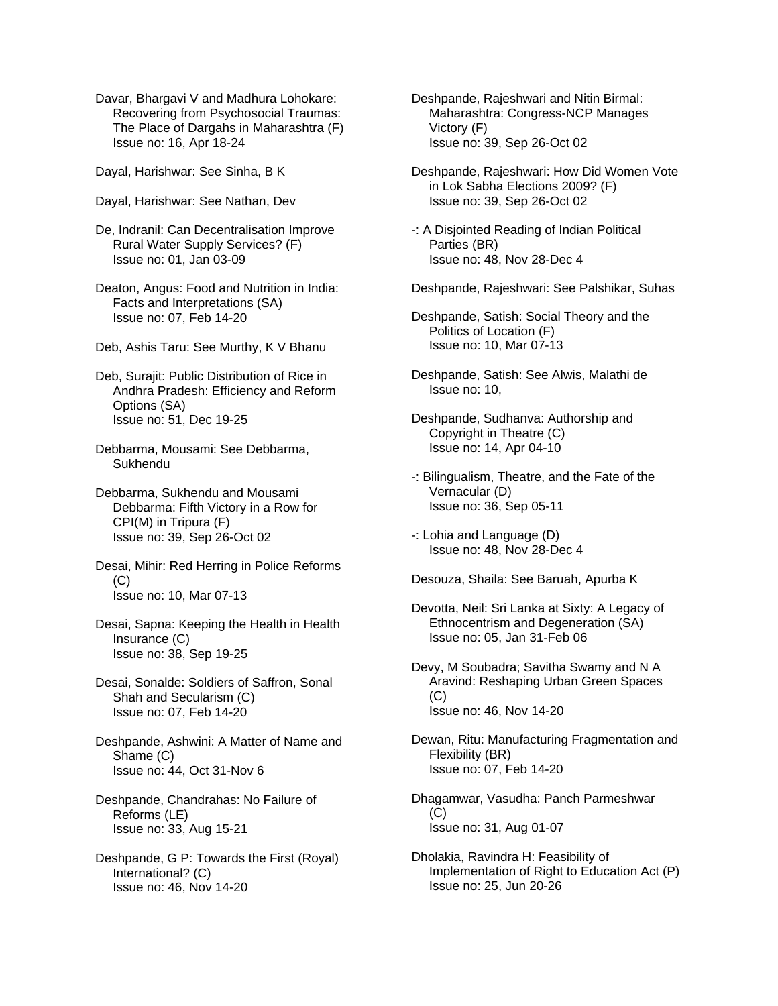Davar, Bhargavi V and Madhura Lohokare: Recovering from Psychosocial Traumas: The Place of Dargahs in Maharashtra (F) Issue no: 16, Apr 18-24

Dayal, Harishwar: See Sinha, B K

- Dayal, Harishwar: See Nathan, Dev
- De, Indranil: Can Decentralisation Improve Rural Water Supply Services? (F) Issue no: 01, Jan 03-09
- Deaton, Angus: Food and Nutrition in India: Facts and Interpretations (SA) Issue no: 07, Feb 14-20
- Deb, Ashis Taru: See Murthy, K V Bhanu
- Deb, Surajit: Public Distribution of Rice in Andhra Pradesh: Efficiency and Reform Options (SA) Issue no: 51, Dec 19-25
- Debbarma, Mousami: See Debbarma, Sukhendu
- Debbarma, Sukhendu and Mousami Debbarma: Fifth Victory in a Row for CPI(M) in Tripura (F) Issue no: 39, Sep 26-Oct 02
- Desai, Mihir: Red Herring in Police Reforms  $(C)$ Issue no: 10, Mar 07-13
- Desai, Sapna: Keeping the Health in Health Insurance (C) Issue no: 38, Sep 19-25
- Desai, Sonalde: Soldiers of Saffron, Sonal Shah and Secularism (C) Issue no: 07, Feb 14-20
- Deshpande, Ashwini: A Matter of Name and Shame (C) Issue no: 44, Oct 31-Nov 6
- Deshpande, Chandrahas: No Failure of Reforms (LE) Issue no: 33, Aug 15-21
- Deshpande, G P: Towards the First (Royal) International? (C) Issue no: 46, Nov 14-20
- Deshpande, Rajeshwari and Nitin Birmal: Maharashtra: Congress-NCP Manages Victory (F) Issue no: 39, Sep 26-Oct 02
- Deshpande, Rajeshwari: How Did Women Vote in Lok Sabha Elections 2009? (F) Issue no: 39, Sep 26-Oct 02
- -: A Disjointed Reading of Indian Political Parties (BR) Issue no: 48, Nov 28-Dec 4
- Deshpande, Rajeshwari: See Palshikar, Suhas
- Deshpande, Satish: Social Theory and the Politics of Location (F) Issue no: 10, Mar 07-13
- Deshpande, Satish: See Alwis, Malathi de Issue no: 10,
- Deshpande, Sudhanva: Authorship and Copyright in Theatre (C) Issue no: 14, Apr 04-10
- -: Bilingualism, Theatre, and the Fate of the Vernacular (D) Issue no: 36, Sep 05-11
- -: Lohia and Language (D) Issue no: 48, Nov 28-Dec 4
- Desouza, Shaila: See Baruah, Apurba K
- Devotta, Neil: Sri Lanka at Sixty: A Legacy of Ethnocentrism and Degeneration (SA) Issue no: 05, Jan 31-Feb 06
- Devy, M Soubadra; Savitha Swamy and N A Aravind: Reshaping Urban Green Spaces (C) Issue no: 46, Nov 14-20
- Dewan, Ritu: Manufacturing Fragmentation and Flexibility (BR) Issue no: 07, Feb 14-20
- Dhagamwar, Vasudha: Panch Parmeshwar  $(C)$ Issue no: 31, Aug 01-07
- Dholakia, Ravindra H: Feasibility of Implementation of Right to Education Act (P) Issue no: 25, Jun 20-26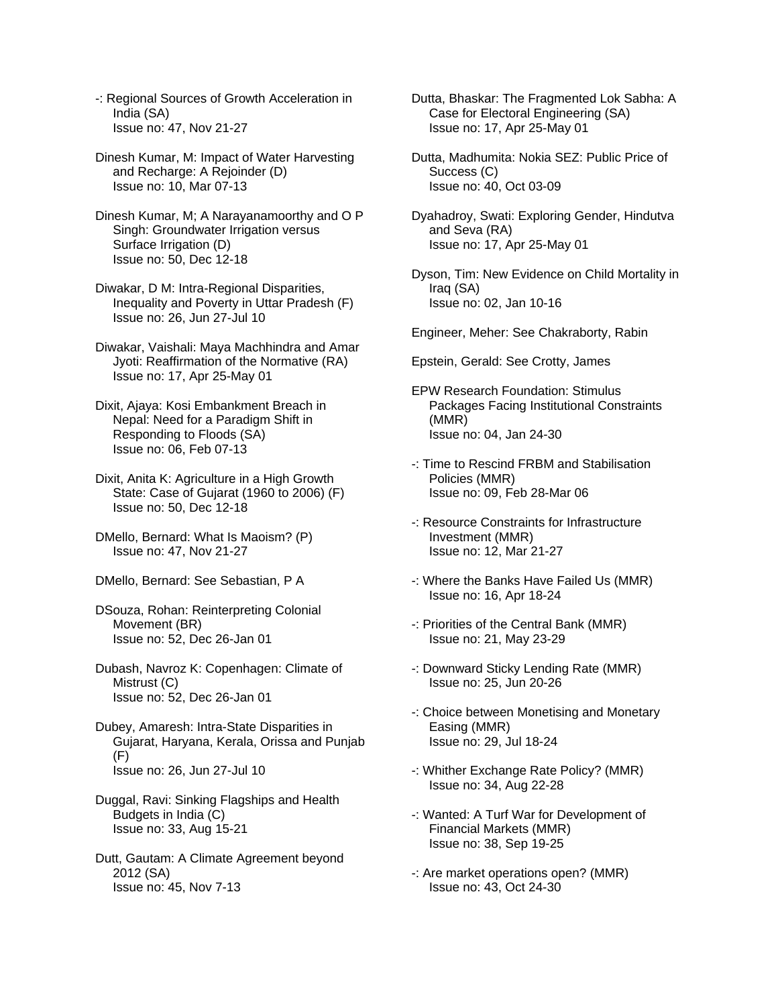- -: Regional Sources of Growth Acceleration in India (SA) Issue no: 47, Nov 21-27
- Dinesh Kumar, M: Impact of Water Harvesting and Recharge: A Rejoinder (D) Issue no: 10, Mar 07-13
- Dinesh Kumar, M; A Narayanamoorthy and O P Singh: Groundwater Irrigation versus Surface Irrigation (D) Issue no: 50, Dec 12-18
- Diwakar, D M: Intra-Regional Disparities, Inequality and Poverty in Uttar Pradesh (F) Issue no: 26, Jun 27-Jul 10
- Diwakar, Vaishali: Maya Machhindra and Amar Jyoti: Reaffirmation of the Normative (RA) Issue no: 17, Apr 25-May 01
- Dixit, Ajaya: Kosi Embankment Breach in Nepal: Need for a Paradigm Shift in Responding to Floods (SA) Issue no: 06, Feb 07-13
- Dixit, Anita K: Agriculture in a High Growth State: Case of Gujarat (1960 to 2006) (F) Issue no: 50, Dec 12-18
- DMello, Bernard: What Is Maoism? (P) Issue no: 47, Nov 21-27
- DMello, Bernard: See Sebastian, P A
- DSouza, Rohan: Reinterpreting Colonial Movement (BR) Issue no: 52, Dec 26-Jan 01
- Dubash, Navroz K: Copenhagen: Climate of Mistrust (C) Issue no: 52, Dec 26-Jan 01
- Dubey, Amaresh: Intra-State Disparities in Gujarat, Haryana, Kerala, Orissa and Punjab (F) Issue no: 26, Jun 27-Jul 10
- Duggal, Ravi: Sinking Flagships and Health Budgets in India (C) Issue no: 33, Aug 15-21
- Dutt, Gautam: A Climate Agreement beyond 2012 (SA) Issue no: 45, Nov 7-13
- Dutta, Bhaskar: The Fragmented Lok Sabha: A Case for Electoral Engineering (SA) Issue no: 17, Apr 25-May 01
- Dutta, Madhumita: Nokia SEZ: Public Price of Success (C) Issue no: 40, Oct 03-09
- Dyahadroy, Swati: Exploring Gender, Hindutva and Seva (RA) Issue no: 17, Apr 25-May 01
- Dyson, Tim: New Evidence on Child Mortality in Iraq (SA) Issue no: 02, Jan 10-16
- Engineer, Meher: See Chakraborty, Rabin
- Epstein, Gerald: See Crotty, James
- EPW Research Foundation: Stimulus Packages Facing Institutional Constraints (MMR) Issue no: 04, Jan 24-30
- -: Time to Rescind FRBM and Stabilisation Policies (MMR) Issue no: 09, Feb 28-Mar 06
- -: Resource Constraints for Infrastructure Investment (MMR) Issue no: 12, Mar 21-27
- -: Where the Banks Have Failed Us (MMR) Issue no: 16, Apr 18-24
- -: Priorities of the Central Bank (MMR) Issue no: 21, May 23-29
- -: Downward Sticky Lending Rate (MMR) Issue no: 25, Jun 20-26
- -: Choice between Monetising and Monetary Easing (MMR) Issue no: 29, Jul 18-24
- -: Whither Exchange Rate Policy? (MMR) Issue no: 34, Aug 22-28
- -: Wanted: A Turf War for Development of Financial Markets (MMR) Issue no: 38, Sep 19-25
- -: Are market operations open? (MMR) Issue no: 43, Oct 24-30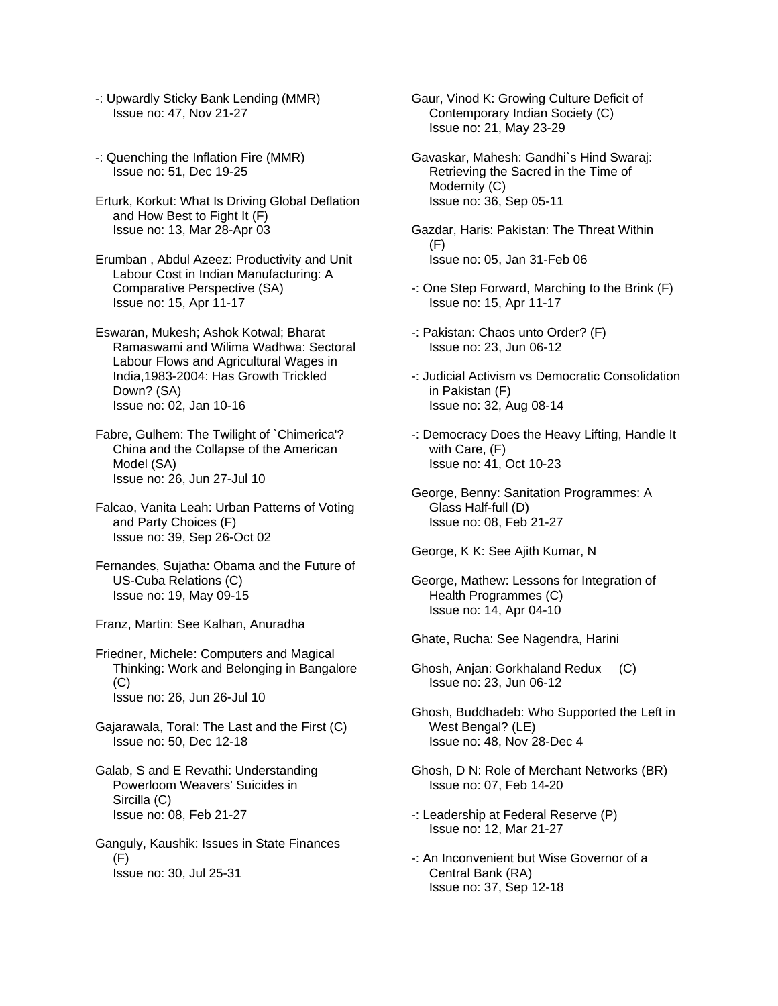- -: Upwardly Sticky Bank Lending (MMR) Issue no: 47, Nov 21-27
- -: Quenching the Inflation Fire (MMR) Issue no: 51, Dec 19-25
- Erturk, Korkut: What Is Driving Global Deflation and How Best to Fight It (F) Issue no: 13, Mar 28-Apr 03
- Erumban , Abdul Azeez: Productivity and Unit Labour Cost in Indian Manufacturing: A Comparative Perspective (SA) Issue no: 15, Apr 11-17
- Eswaran, Mukesh; Ashok Kotwal; Bharat Ramaswami and Wilima Wadhwa: Sectoral Labour Flows and Agricultural Wages in India,1983-2004: Has Growth Trickled Down? (SA) Issue no: 02, Jan 10-16
- Fabre, Gulhem: The Twilight of `Chimerica'? China and the Collapse of the American Model (SA) Issue no: 26, Jun 27-Jul 10
- Falcao, Vanita Leah: Urban Patterns of Voting and Party Choices (F) Issue no: 39, Sep 26-Oct 02
- Fernandes, Sujatha: Obama and the Future of US-Cuba Relations (C) Issue no: 19, May 09-15
- Franz, Martin: See Kalhan, Anuradha
- Friedner, Michele: Computers and Magical Thinking: Work and Belonging in Bangalore (C) Issue no: 26, Jun 26-Jul 10
- Gajarawala, Toral: The Last and the First (C) Issue no: 50, Dec 12-18
- Galab, S and E Revathi: Understanding Powerloom Weavers' Suicides in Sircilla (C) Issue no: 08, Feb 21-27
- Ganguly, Kaushik: Issues in State Finances (F) Issue no: 30, Jul 25-31
- Gaur, Vinod K: Growing Culture Deficit of Contemporary Indian Society (C) Issue no: 21, May 23-29
- Gavaskar, Mahesh: Gandhi`s Hind Swaraj: Retrieving the Sacred in the Time of Modernity (C) Issue no: 36, Sep 05-11
- Gazdar, Haris: Pakistan: The Threat Within (F) Issue no: 05, Jan 31-Feb 06
- -: One Step Forward, Marching to the Brink (F) Issue no: 15, Apr 11-17
- -: Pakistan: Chaos unto Order? (F) Issue no: 23, Jun 06-12
- -: Judicial Activism vs Democratic Consolidation in Pakistan (F) Issue no: 32, Aug 08-14
- -: Democracy Does the Heavy Lifting, Handle It with Care, (F) Issue no: 41, Oct 10-23
- George, Benny: Sanitation Programmes: A Glass Half-full (D) Issue no: 08, Feb 21-27
- George, K K: See Ajith Kumar, N
- George, Mathew: Lessons for Integration of Health Programmes (C) Issue no: 14, Apr 04-10
- Ghate, Rucha: See Nagendra, Harini
- Ghosh, Anjan: Gorkhaland Redux (C) Issue no: 23, Jun 06-12
- Ghosh, Buddhadeb: Who Supported the Left in West Bengal? (LE) Issue no: 48, Nov 28-Dec 4
- Ghosh, D N: Role of Merchant Networks (BR) Issue no: 07, Feb 14-20
- -: Leadership at Federal Reserve (P) Issue no: 12, Mar 21-27
- -: An Inconvenient but Wise Governor of a Central Bank (RA) Issue no: 37, Sep 12-18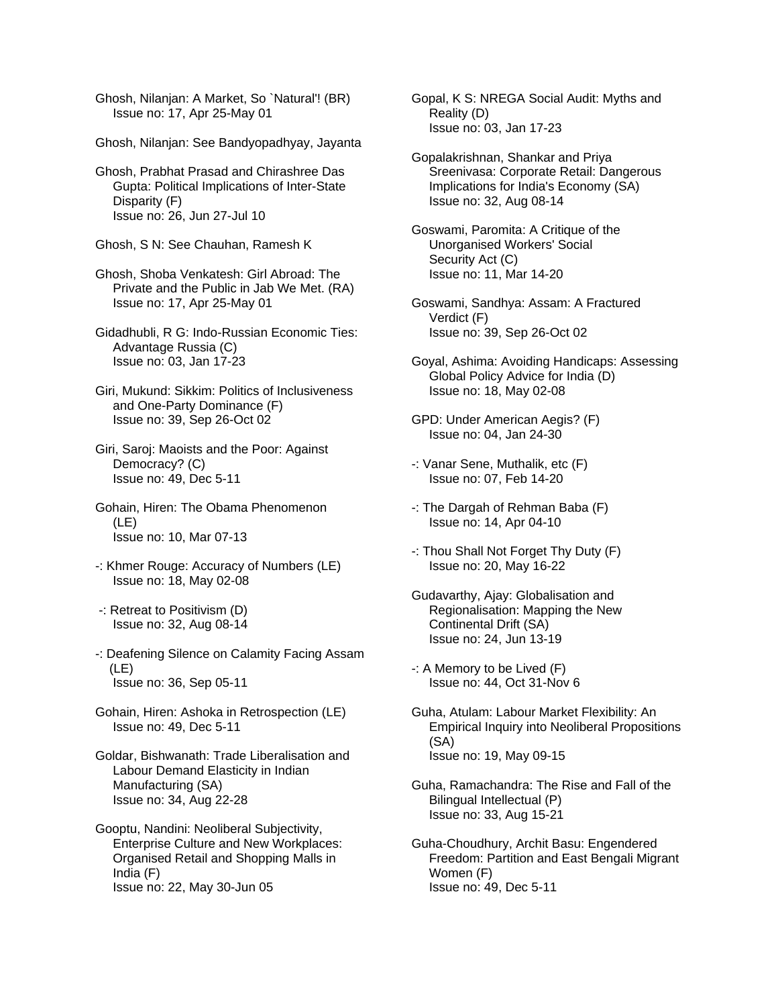Ghosh, Nilanjan: A Market, So `Natural'! (BR) Issue no: 17, Apr 25-May 01

Ghosh, Nilanjan: See Bandyopadhyay, Jayanta

Ghosh, Prabhat Prasad and Chirashree Das Gupta: Political Implications of Inter-State Disparity (F) Issue no: 26, Jun 27-Jul 10

Ghosh, S N: See Chauhan, Ramesh K

Ghosh, Shoba Venkatesh: Girl Abroad: The Private and the Public in Jab We Met. (RA) Issue no: 17, Apr 25-May 01

Gidadhubli, R G: Indo-Russian Economic Ties: Advantage Russia (C) Issue no: 03, Jan 17-23

Giri, Mukund: Sikkim: Politics of Inclusiveness and One-Party Dominance (F) Issue no: 39, Sep 26-Oct 02

Giri, Saroj: Maoists and the Poor: Against Democracy? (C) Issue no: 49, Dec 5-11

Gohain, Hiren: The Obama Phenomenon (LE) Issue no: 10, Mar 07-13

-: Khmer Rouge: Accuracy of Numbers (LE) Issue no: 18, May 02-08

 -: Retreat to Positivism (D) Issue no: 32, Aug 08-14

-: Deafening Silence on Calamity Facing Assam (LE) Issue no: 36, Sep 05-11

Gohain, Hiren: Ashoka in Retrospection (LE) Issue no: 49, Dec 5-11

Goldar, Bishwanath: Trade Liberalisation and Labour Demand Elasticity in Indian Manufacturing (SA) Issue no: 34, Aug 22-28

Gooptu, Nandini: Neoliberal Subjectivity, Enterprise Culture and New Workplaces: Organised Retail and Shopping Malls in India (F) Issue no: 22, May 30-Jun 05

Gopal, K S: NREGA Social Audit: Myths and Reality (D) Issue no: 03, Jan 17-23

Gopalakrishnan, Shankar and Priya Sreenivasa: Corporate Retail: Dangerous Implications for India's Economy (SA) Issue no: 32, Aug 08-14

Goswami, Paromita: A Critique of the Unorganised Workers' Social Security Act (C) Issue no: 11, Mar 14-20

Goswami, Sandhya: Assam: A Fractured Verdict (F) Issue no: 39, Sep 26-Oct 02

- Goyal, Ashima: Avoiding Handicaps: Assessing Global Policy Advice for India (D) Issue no: 18, May 02-08
- GPD: Under American Aegis? (F) Issue no: 04, Jan 24-30
- -: Vanar Sene, Muthalik, etc (F) Issue no: 07, Feb 14-20
- -: The Dargah of Rehman Baba (F) Issue no: 14, Apr 04-10
- -: Thou Shall Not Forget Thy Duty (F) Issue no: 20, May 16-22
- Gudavarthy, Ajay: Globalisation and Regionalisation: Mapping the New Continental Drift (SA) Issue no: 24, Jun 13-19
- -: A Memory to be Lived (F) Issue no: 44, Oct 31-Nov 6

Guha, Atulam: Labour Market Flexibility: An Empirical Inquiry into Neoliberal Propositions (SA) Issue no: 19, May 09-15

Guha, Ramachandra: The Rise and Fall of the Bilingual Intellectual (P) Issue no: 33, Aug 15-21

Guha-Choudhury, Archit Basu: Engendered Freedom: Partition and East Bengali Migrant Women (F) Issue no: 49, Dec 5-11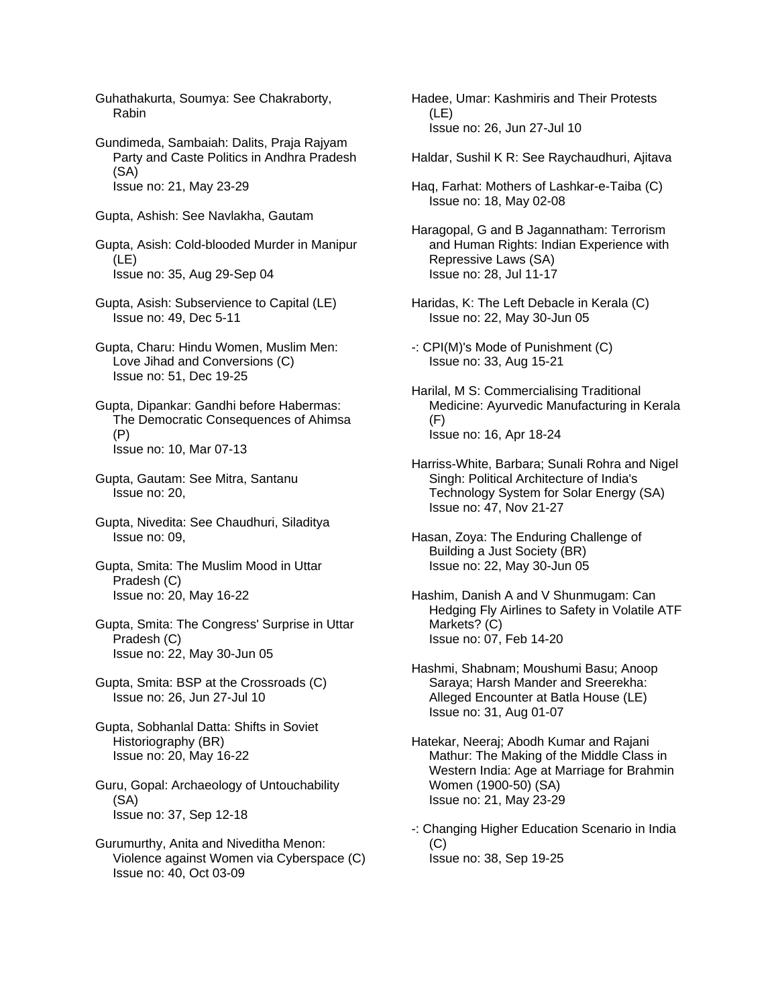Guhathakurta, Soumya: See Chakraborty, Rabin

Gundimeda, Sambaiah: Dalits, Praja Rajyam Party and Caste Politics in Andhra Pradesh (SA) Issue no: 21, May 23-29

Gupta, Ashish: See Navlakha, Gautam

Gupta, Asish: Cold-blooded Murder in Manipur (LE) Issue no: 35, Aug 29-Sep 04

- Gupta, Asish: Subservience to Capital (LE) Issue no: 49, Dec 5-11
- Gupta, Charu: Hindu Women, Muslim Men: Love Jihad and Conversions (C) Issue no: 51, Dec 19-25

Gupta, Dipankar: Gandhi before Habermas: The Democratic Consequences of Ahimsa (P) Issue no: 10, Mar 07-13

- Gupta, Gautam: See Mitra, Santanu Issue no: 20,
- Gupta, Nivedita: See Chaudhuri, Siladitya Issue no: 09,
- Gupta, Smita: The Muslim Mood in Uttar Pradesh (C) Issue no: 20, May 16-22
- Gupta, Smita: The Congress' Surprise in Uttar Pradesh (C) Issue no: 22, May 30-Jun 05
- Gupta, Smita: BSP at the Crossroads (C) Issue no: 26, Jun 27-Jul 10
- Gupta, Sobhanlal Datta: Shifts in Soviet Historiography (BR) Issue no: 20, May 16-22
- Guru, Gopal: Archaeology of Untouchability (SA) Issue no: 37, Sep 12-18
- Gurumurthy, Anita and Niveditha Menon: Violence against Women via Cyberspace (C) Issue no: 40, Oct 03-09

Hadee, Umar: Kashmiris and Their Protests (LE) Issue no: 26, Jun 27-Jul 10

- Haldar, Sushil K R: See Raychaudhuri, Ajitava
- Haq, Farhat: Mothers of Lashkar-e-Taiba (C) Issue no: 18, May 02-08
- Haragopal, G and B Jagannatham: Terrorism and Human Rights: Indian Experience with Repressive Laws (SA) Issue no: 28, Jul 11-17
- Haridas, K: The Left Debacle in Kerala (C) Issue no: 22, May 30-Jun 05
- -: CPI(M)'s Mode of Punishment (C) Issue no: 33, Aug 15-21
- Harilal, M S: Commercialising Traditional Medicine: Ayurvedic Manufacturing in Kerala (F) Issue no: 16, Apr 18-24
- Harriss-White, Barbara; Sunali Rohra and Nigel Singh: Political Architecture of India's Technology System for Solar Energy (SA) Issue no: 47, Nov 21-27
- Hasan, Zoya: The Enduring Challenge of Building a Just Society (BR) Issue no: 22, May 30-Jun 05
- Hashim, Danish A and V Shunmugam: Can Hedging Fly Airlines to Safety in Volatile ATF Markets? (C) Issue no: 07, Feb 14-20
- Hashmi, Shabnam; Moushumi Basu; Anoop Saraya; Harsh Mander and Sreerekha: Alleged Encounter at Batla House (LE) Issue no: 31, Aug 01-07
- Hatekar, Neeraj; Abodh Kumar and Rajani Mathur: The Making of the Middle Class in Western India: Age at Marriage for Brahmin Women (1900-50) (SA) Issue no: 21, May 23-29
- -: Changing Higher Education Scenario in India (C) Issue no: 38, Sep 19-25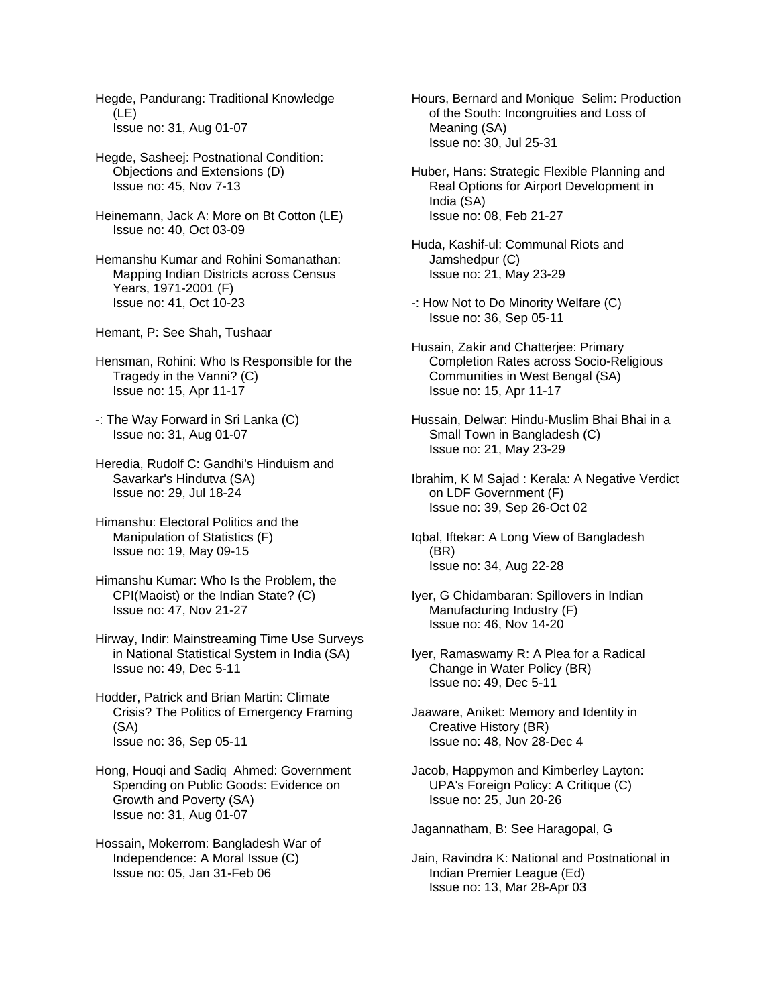Hegde, Pandurang: Traditional Knowledge (LE) Issue no: 31, Aug 01-07

- Hegde, Sasheej: Postnational Condition: Objections and Extensions (D) Issue no: 45, Nov 7-13
- Heinemann, Jack A: More on Bt Cotton (LE) Issue no: 40, Oct 03-09
- Hemanshu Kumar and Rohini Somanathan: Mapping Indian Districts across Census Years, 1971-2001 (F) Issue no: 41, Oct 10-23
- Hemant, P: See Shah, Tushaar
- Hensman, Rohini: Who Is Responsible for the Tragedy in the Vanni? (C) Issue no: 15, Apr 11-17
- -: The Way Forward in Sri Lanka (C) Issue no: 31, Aug 01-07
- Heredia, Rudolf C: Gandhi's Hinduism and Savarkar's Hindutva (SA) Issue no: 29, Jul 18-24
- Himanshu: Electoral Politics and the Manipulation of Statistics (F) Issue no: 19, May 09-15
- Himanshu Kumar: Who Is the Problem, the CPI(Maoist) or the Indian State? (C) Issue no: 47, Nov 21-27
- Hirway, Indir: Mainstreaming Time Use Surveys in National Statistical System in India (SA) Issue no: 49, Dec 5-11
- Hodder, Patrick and Brian Martin: Climate Crisis? The Politics of Emergency Framing (SA) Issue no: 36, Sep 05-11
- Hong, Houqi and Sadiq Ahmed: Government Spending on Public Goods: Evidence on Growth and Poverty (SA) Issue no: 31, Aug 01-07
- Hossain, Mokerrom: Bangladesh War of Independence: A Moral Issue (C) Issue no: 05, Jan 31-Feb 06
- Hours, Bernard and Monique Selim: Production of the South: Incongruities and Loss of Meaning (SA) Issue no: 30, Jul 25-31
- Huber, Hans: Strategic Flexible Planning and Real Options for Airport Development in India (SA) Issue no: 08, Feb 21-27
- Huda, Kashif-ul: Communal Riots and Jamshedpur (C) Issue no: 21, May 23-29
- -: How Not to Do Minority Welfare (C) Issue no: 36, Sep 05-11
- Husain, Zakir and Chatterjee: Primary Completion Rates across Socio-Religious Communities in West Bengal (SA) Issue no: 15, Apr 11-17
- Hussain, Delwar: Hindu-Muslim Bhai Bhai in a Small Town in Bangladesh (C) Issue no: 21, May 23-29
- Ibrahim, K M Sajad : Kerala: A Negative Verdict on LDF Government (F) Issue no: 39, Sep 26-Oct 02
- Iqbal, Iftekar: A Long View of Bangladesh (BR) Issue no: 34, Aug 22-28
- Iyer, G Chidambaran: Spillovers in Indian Manufacturing Industry (F) Issue no: 46, Nov 14-20
- Iyer, Ramaswamy R: A Plea for a Radical Change in Water Policy (BR) Issue no: 49, Dec 5-11
- Jaaware, Aniket: Memory and Identity in Creative History (BR) Issue no: 48, Nov 28-Dec 4
- Jacob, Happymon and Kimberley Layton: UPA's Foreign Policy: A Critique (C) Issue no: 25, Jun 20-26
- Jagannatham, B: See Haragopal, G
- Jain, Ravindra K: National and Postnational in Indian Premier League (Ed) Issue no: 13, Mar 28-Apr 03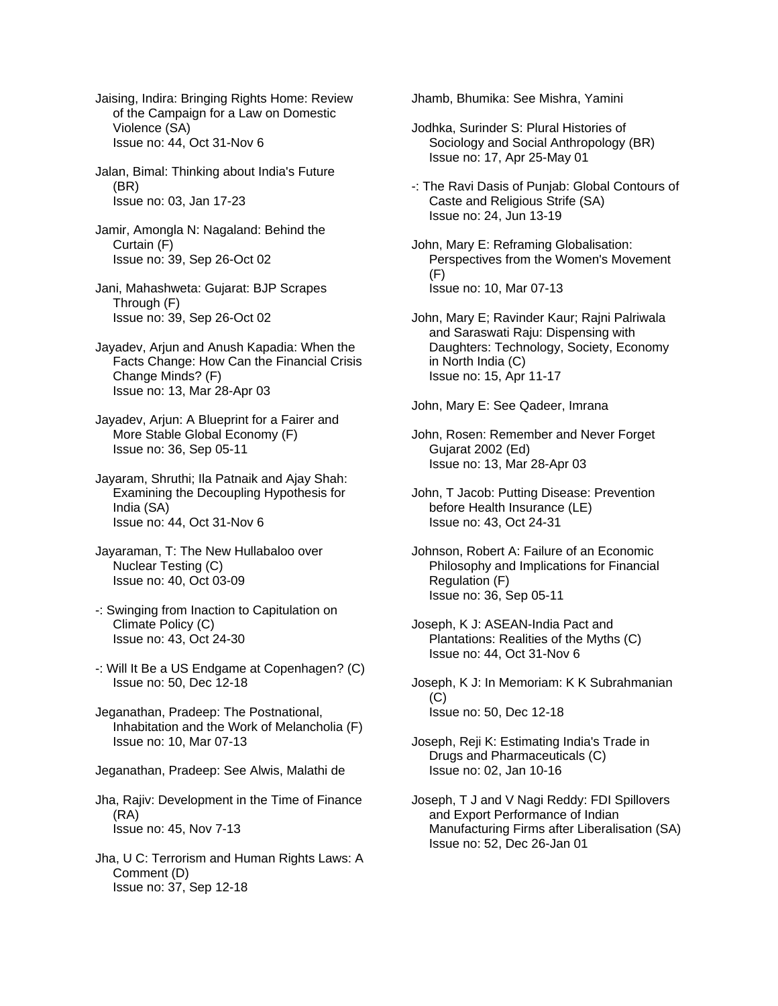Jaising, Indira: Bringing Rights Home: Review of the Campaign for a Law on Domestic Violence (SA) Issue no: 44, Oct 31-Nov 6

Jalan, Bimal: Thinking about India's Future (BR) Issue no: 03, Jan 17-23

Jamir, Amongla N: Nagaland: Behind the Curtain (F) Issue no: 39, Sep 26-Oct 02

- Jani, Mahashweta: Gujarat: BJP Scrapes Through (F) Issue no: 39, Sep 26-Oct 02
- Jayadev, Arjun and Anush Kapadia: When the Facts Change: How Can the Financial Crisis Change Minds? (F) Issue no: 13, Mar 28-Apr 03
- Jayadev, Arjun: A Blueprint for a Fairer and More Stable Global Economy (F) Issue no: 36, Sep 05-11
- Jayaram, Shruthi; Ila Patnaik and Ajay Shah: Examining the Decoupling Hypothesis for India (SA) Issue no: 44, Oct 31-Nov 6
- Jayaraman, T: The New Hullabaloo over Nuclear Testing (C) Issue no: 40, Oct 03-09
- -: Swinging from Inaction to Capitulation on Climate Policy (C) Issue no: 43, Oct 24-30
- -: Will It Be a US Endgame at Copenhagen? (C) Issue no: 50, Dec 12-18
- Jeganathan, Pradeep: The Postnational, Inhabitation and the Work of Melancholia (F) Issue no: 10, Mar 07-13
- Jeganathan, Pradeep: See Alwis, Malathi de

Jha, Rajiv: Development in the Time of Finance (RA) Issue no: 45, Nov 7-13

Jha, U C: Terrorism and Human Rights Laws: A Comment (D) Issue no: 37, Sep 12-18

Jhamb, Bhumika: See Mishra, Yamini

- Jodhka, Surinder S: Plural Histories of Sociology and Social Anthropology (BR) Issue no: 17, Apr 25-May 01
- -: The Ravi Dasis of Punjab: Global Contours of Caste and Religious Strife (SA) Issue no: 24, Jun 13-19
- John, Mary E: Reframing Globalisation: Perspectives from the Women's Movement (F) Issue no: 10, Mar 07-13
- John, Mary E; Ravinder Kaur; Rajni Palriwala and Saraswati Raju: Dispensing with Daughters: Technology, Society, Economy in North India (C) Issue no: 15, Apr 11-17

John, Mary E: See Qadeer, Imrana

- John, Rosen: Remember and Never Forget Gujarat 2002 (Ed) Issue no: 13, Mar 28-Apr 03
- John, T Jacob: Putting Disease: Prevention before Health Insurance (LE) Issue no: 43, Oct 24-31
- Johnson, Robert A: Failure of an Economic Philosophy and Implications for Financial Regulation (F) Issue no: 36, Sep 05-11
- Joseph, K J: ASEAN-India Pact and Plantations: Realities of the Myths (C) Issue no: 44, Oct 31-Nov 6
- Joseph, K J: In Memoriam: K K Subrahmanian (C) Issue no: 50, Dec 12-18
- Joseph, Reji K: Estimating India's Trade in Drugs and Pharmaceuticals (C) Issue no: 02, Jan 10-16
- Joseph, T J and V Nagi Reddy: FDI Spillovers and Export Performance of Indian Manufacturing Firms after Liberalisation (SA) Issue no: 52, Dec 26-Jan 01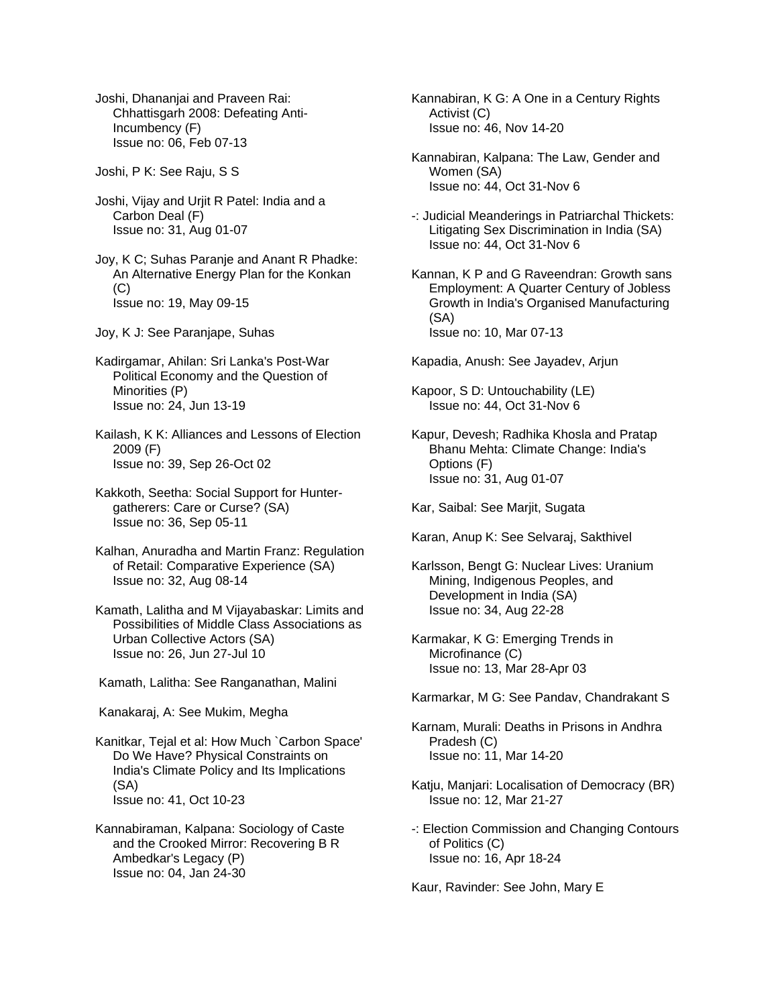Joshi, Dhananjai and Praveen Rai: Chhattisgarh 2008: Defeating Anti- Incumbency (F) Issue no: 06, Feb 07-13

Joshi, P K: See Raju, S S

Joshi, Vijay and Urjit R Patel: India and a Carbon Deal (F) Issue no: 31, Aug 01-07

Joy, K C; Suhas Paranje and Anant R Phadke: An Alternative Energy Plan for the Konkan (C) Issue no: 19, May 09-15

Joy, K J: See Paranjape, Suhas

Kadirgamar, Ahilan: Sri Lanka's Post-War Political Economy and the Question of Minorities (P) Issue no: 24, Jun 13-19

Kailash, K K: Alliances and Lessons of Election 2009 (F) Issue no: 39, Sep 26-Oct 02

Kakkoth, Seetha: Social Support for Hunter gatherers: Care or Curse? (SA) Issue no: 36, Sep 05-11

Kalhan, Anuradha and Martin Franz: Regulation of Retail: Comparative Experience (SA) Issue no: 32, Aug 08-14

Kamath, Lalitha and M Vijayabaskar: Limits and Possibilities of Middle Class Associations as Urban Collective Actors (SA) Issue no: 26, Jun 27-Jul 10

Kamath, Lalitha: See Ranganathan, Malini

Kanakaraj, A: See Mukim, Megha

Kanitkar, Tejal et al: How Much `Carbon Space' Do We Have? Physical Constraints on India's Climate Policy and Its Implications (SA) Issue no: 41, Oct 10-23

Kannabiraman, Kalpana: Sociology of Caste and the Crooked Mirror: Recovering B R Ambedkar's Legacy (P) Issue no: 04, Jan 24-30

Kannabiran, K G: A One in a Century Rights Activist (C) Issue no: 46, Nov 14-20

Kannabiran, Kalpana: The Law, Gender and Women (SA) Issue no: 44, Oct 31-Nov 6

-: Judicial Meanderings in Patriarchal Thickets: Litigating Sex Discrimination in India (SA) Issue no: 44, Oct 31-Nov 6

Kannan, K P and G Raveendran: Growth sans Employment: A Quarter Century of Jobless Growth in India's Organised Manufacturing (SA) Issue no: 10, Mar 07-13

Kapadia, Anush: See Jayadev, Arjun

Kapoor, S D: Untouchability (LE) Issue no: 44, Oct 31-Nov 6

Kapur, Devesh; Radhika Khosla and Pratap Bhanu Mehta: Climate Change: India's Options (F) Issue no: 31, Aug 01-07

Kar, Saibal: See Marjit, Sugata

Karan, Anup K: See Selvaraj, Sakthivel

Karlsson, Bengt G: Nuclear Lives: Uranium Mining, Indigenous Peoples, and Development in India (SA) Issue no: 34, Aug 22-28

Karmakar, K G: Emerging Trends in Microfinance (C) Issue no: 13, Mar 28-Apr 03

Karmarkar, M G: See Pandav, Chandrakant S

Karnam, Murali: Deaths in Prisons in Andhra Pradesh (C) Issue no: 11, Mar 14-20

Katju, Manjari: Localisation of Democracy (BR) Issue no: 12, Mar 21-27

-: Election Commission and Changing Contours of Politics (C) Issue no: 16, Apr 18-24

Kaur, Ravinder: See John, Mary E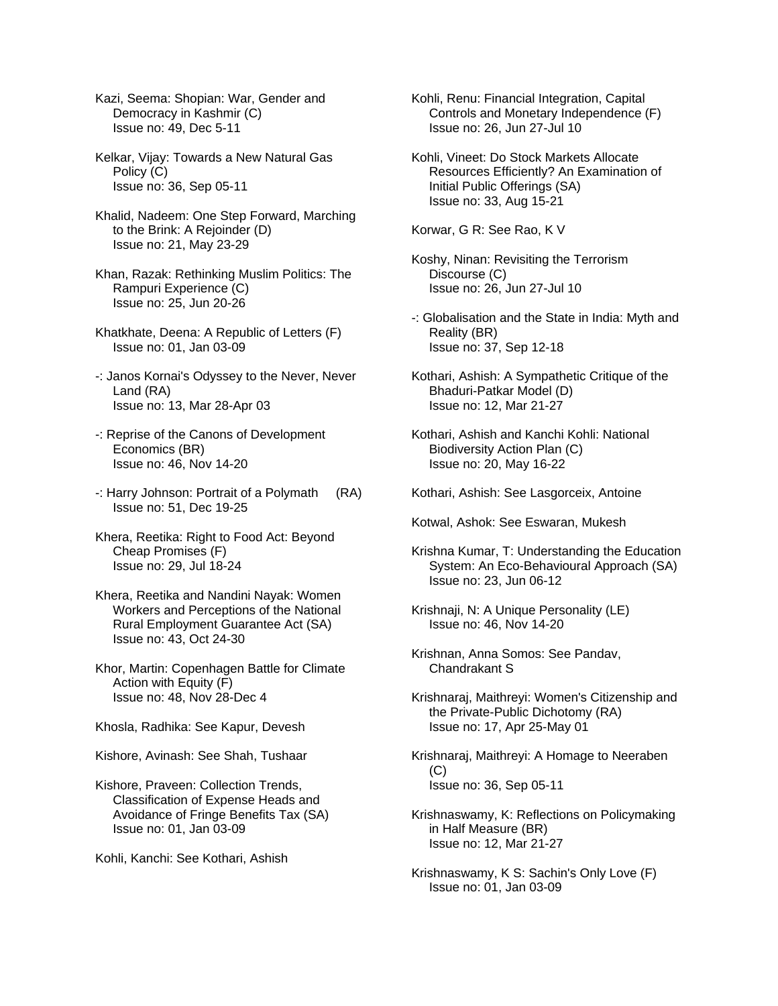- Kazi, Seema: Shopian: War, Gender and Democracy in Kashmir (C) Issue no: 49, Dec 5-11
- Kelkar, Vijay: Towards a New Natural Gas Policy (C) Issue no: 36, Sep 05-11
- Khalid, Nadeem: One Step Forward, Marching to the Brink: A Rejoinder (D) Issue no: 21, May 23-29
- Khan, Razak: Rethinking Muslim Politics: The Rampuri Experience (C) Issue no: 25, Jun 20-26
- Khatkhate, Deena: A Republic of Letters (F) Issue no: 01, Jan 03-09
- -: Janos Kornai's Odyssey to the Never, Never Land (RA) Issue no: 13, Mar 28-Apr 03
- -: Reprise of the Canons of Development Economics (BR) Issue no: 46, Nov 14-20
- -: Harry Johnson: Portrait of a Polymath (RA) Issue no: 51, Dec 19-25
- Khera, Reetika: Right to Food Act: Beyond Cheap Promises (F) Issue no: 29, Jul 18-24
- Khera, Reetika and Nandini Nayak: Women Workers and Perceptions of the National Rural Employment Guarantee Act (SA) Issue no: 43, Oct 24-30
- Khor, Martin: Copenhagen Battle for Climate Action with Equity (F) Issue no: 48, Nov 28-Dec 4
- Khosla, Radhika: See Kapur, Devesh
- Kishore, Avinash: See Shah, Tushaar
- Kishore, Praveen: Collection Trends, Classification of Expense Heads and Avoidance of Fringe Benefits Tax (SA) Issue no: 01, Jan 03-09
- Kohli, Kanchi: See Kothari, Ashish
- Kohli, Renu: Financial Integration, Capital Controls and Monetary Independence (F) Issue no: 26, Jun 27-Jul 10
- Kohli, Vineet: Do Stock Markets Allocate Resources Efficiently? An Examination of Initial Public Offerings (SA) Issue no: 33, Aug 15-21
- Korwar, G R: See Rao, K V
- Koshy, Ninan: Revisiting the Terrorism Discourse (C) Issue no: 26, Jun 27-Jul 10
- -: Globalisation and the State in India: Myth and Reality (BR) Issue no: 37, Sep 12-18
- Kothari, Ashish: A Sympathetic Critique of the Bhaduri-Patkar Model (D) Issue no: 12, Mar 21-27
- Kothari, Ashish and Kanchi Kohli: National Biodiversity Action Plan (C) Issue no: 20, May 16-22
- Kothari, Ashish: See Lasgorceix, Antoine
- Kotwal, Ashok: See Eswaran, Mukesh
- Krishna Kumar, T: Understanding the Education System: An Eco-Behavioural Approach (SA) Issue no: 23, Jun 06-12
- Krishnaii, N: A Unique Personality (LE) Issue no: 46, Nov 14-20
- Krishnan, Anna Somos: See Pandav, Chandrakant S
- Krishnaraj, Maithreyi: Women's Citizenship and the Private-Public Dichotomy (RA) Issue no: 17, Apr 25-May 01
- Krishnaraj, Maithreyi: A Homage to Neeraben (C) Issue no: 36, Sep 05-11
- Krishnaswamy, K: Reflections on Policymaking in Half Measure (BR) Issue no: 12, Mar 21-27
- Krishnaswamy, K S: Sachin's Only Love (F) Issue no: 01, Jan 03-09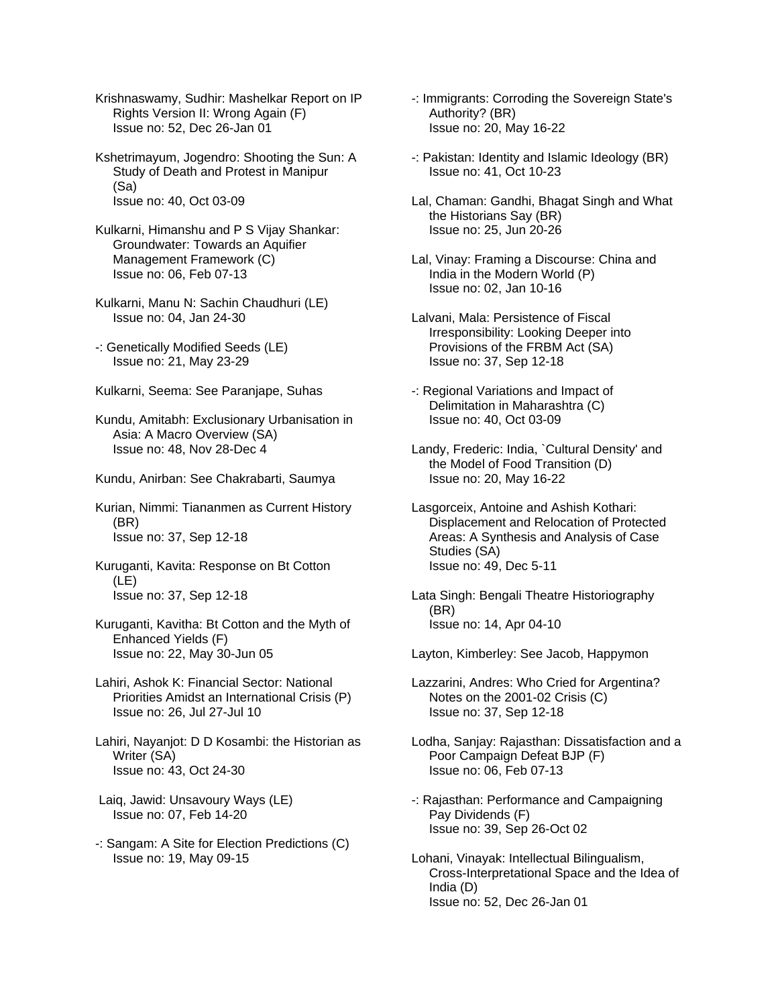Krishnaswamy, Sudhir: Mashelkar Report on IP Rights Version II: Wrong Again (F) Issue no: 52, Dec 26-Jan 01

Kshetrimayum, Jogendro: Shooting the Sun: A Study of Death and Protest in Manipur (Sa) Issue no: 40, Oct 03-09

Kulkarni, Himanshu and P S Vijay Shankar: Groundwater: Towards an Aquifier Management Framework (C) Issue no: 06, Feb 07-13

Kulkarni, Manu N: Sachin Chaudhuri (LE) Issue no: 04, Jan 24-30

-: Genetically Modified Seeds (LE) Issue no: 21, May 23-29

Kulkarni, Seema: See Paranjape, Suhas

Kundu, Amitabh: Exclusionary Urbanisation in Asia: A Macro Overview (SA) Issue no: 48, Nov 28-Dec 4

Kundu, Anirban: See Chakrabarti, Saumya

Kurian, Nimmi: Tiananmen as Current History (BR) Issue no: 37, Sep 12-18

Kuruganti, Kavita: Response on Bt Cotton (LE) Issue no: 37, Sep 12-18

Kuruganti, Kavitha: Bt Cotton and the Myth of Enhanced Yields (F) Issue no: 22, May 30-Jun 05

Lahiri, Ashok K: Financial Sector: National Priorities Amidst an International Crisis (P) Issue no: 26, Jul 27-Jul 10

Lahiri, Nayanjot: D D Kosambi: the Historian as Writer (SA) Issue no: 43, Oct 24-30

 Laiq, Jawid: Unsavoury Ways (LE) Issue no: 07, Feb 14-20

-: Sangam: A Site for Election Predictions (C) Issue no: 19, May 09-15

-: Immigrants: Corroding the Sovereign State's Authority? (BR) Issue no: 20, May 16-22

-: Pakistan: Identity and Islamic Ideology (BR) Issue no: 41, Oct 10-23

Lal, Chaman: Gandhi, Bhagat Singh and What the Historians Say (BR) Issue no: 25, Jun 20-26

Lal, Vinay: Framing a Discourse: China and India in the Modern World (P) Issue no: 02, Jan 10-16

Lalvani, Mala: Persistence of Fiscal Irresponsibility: Looking Deeper into Provisions of the FRBM Act (SA) Issue no: 37, Sep 12-18

-: Regional Variations and Impact of Delimitation in Maharashtra (C) Issue no: 40, Oct 03-09

Landy, Frederic: India, `Cultural Density' and the Model of Food Transition (D) Issue no: 20, May 16-22

Lasgorceix, Antoine and Ashish Kothari: Displacement and Relocation of Protected Areas: A Synthesis and Analysis of Case Studies (SA) Issue no: 49, Dec 5-11

Lata Singh: Bengali Theatre Historiography (BR) Issue no: 14, Apr 04-10

Layton, Kimberley: See Jacob, Happymon

Lazzarini, Andres: Who Cried for Argentina? Notes on the 2001-02 Crisis (C) Issue no: 37, Sep 12-18

Lodha, Sanjay: Rajasthan: Dissatisfaction and a Poor Campaign Defeat BJP (F) Issue no: 06, Feb 07-13

-: Rajasthan: Performance and Campaigning Pay Dividends (F) Issue no: 39, Sep 26-Oct 02

Lohani, Vinayak: Intellectual Bilingualism, Cross-Interpretational Space and the Idea of India (D) Issue no: 52, Dec 26-Jan 01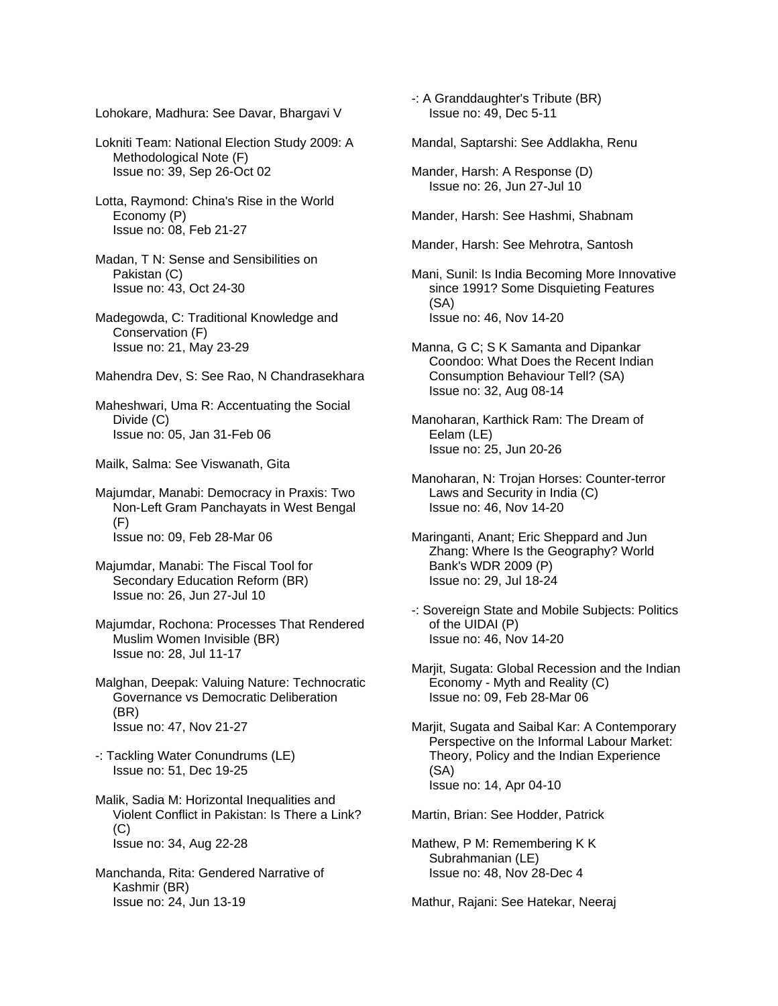Lohokare, Madhura: See Davar, Bhargavi V

Lokniti Team: National Election Study 2009: A Methodological Note (F) Issue no: 39, Sep 26-Oct 02

Lotta, Raymond: China's Rise in the World Economy (P) Issue no: 08, Feb 21-27

Madan, T N: Sense and Sensibilities on Pakistan (C) Issue no: 43, Oct 24-30

Madegowda, C: Traditional Knowledge and Conservation (F) Issue no: 21, May 23-29

Mahendra Dev, S: See Rao, N Chandrasekhara

Maheshwari, Uma R: Accentuating the Social Divide (C) Issue no: 05, Jan 31-Feb 06

Mailk, Salma: See Viswanath, Gita

Majumdar, Manabi: Democracy in Praxis: Two Non-Left Gram Panchayats in West Bengal (F) Issue no: 09, Feb 28-Mar 06

Majumdar, Manabi: The Fiscal Tool for Secondary Education Reform (BR) Issue no: 26, Jun 27-Jul 10

Majumdar, Rochona: Processes That Rendered Muslim Women Invisible (BR) Issue no: 28, Jul 11-17

Malghan, Deepak: Valuing Nature: Technocratic Governance vs Democratic Deliberation (BR) Issue no: 47, Nov 21-27

-: Tackling Water Conundrums (LE) Issue no: 51, Dec 19-25

Malik, Sadia M: Horizontal Inequalities and Violent Conflict in Pakistan: Is There a Link? (C) Issue no: 34, Aug 22-28

Manchanda, Rita: Gendered Narrative of Kashmir (BR) Issue no: 24, Jun 13-19

-: A Granddaughter's Tribute (BR) Issue no: 49, Dec 5-11

Mandal, Saptarshi: See Addlakha, Renu

Mander, Harsh: A Response (D) Issue no: 26, Jun 27-Jul 10

Mander, Harsh: See Hashmi, Shabnam

Mander, Harsh: See Mehrotra, Santosh

Mani, Sunil: Is India Becoming More Innovative since 1991? Some Disquieting Features (SA) Issue no: 46, Nov 14-20

Manna, G C; S K Samanta and Dipankar Coondoo: What Does the Recent Indian Consumption Behaviour Tell? (SA) Issue no: 32, Aug 08-14

Manoharan, Karthick Ram: The Dream of Eelam (LE) Issue no: 25, Jun 20-26

Manoharan, N: Trojan Horses: Counter-terror Laws and Security in India (C) Issue no: 46, Nov 14-20

Maringanti, Anant; Eric Sheppard and Jun Zhang: Where Is the Geography? World Bank's WDR 2009 (P) Issue no: 29, Jul 18-24

-: Sovereign State and Mobile Subjects: Politics of the UIDAI (P) Issue no: 46, Nov 14-20

Marjit, Sugata: Global Recession and the Indian Economy - Myth and Reality (C) Issue no: 09, Feb 28-Mar 06

Marjit, Sugata and Saibal Kar: A Contemporary Perspective on the Informal Labour Market: Theory, Policy and the Indian Experience (SA) Issue no: 14, Apr 04-10

Martin, Brian: See Hodder, Patrick

Mathew, P M: Remembering K K Subrahmanian (LE) Issue no: 48, Nov 28-Dec 4

Mathur, Rajani: See Hatekar, Neeraj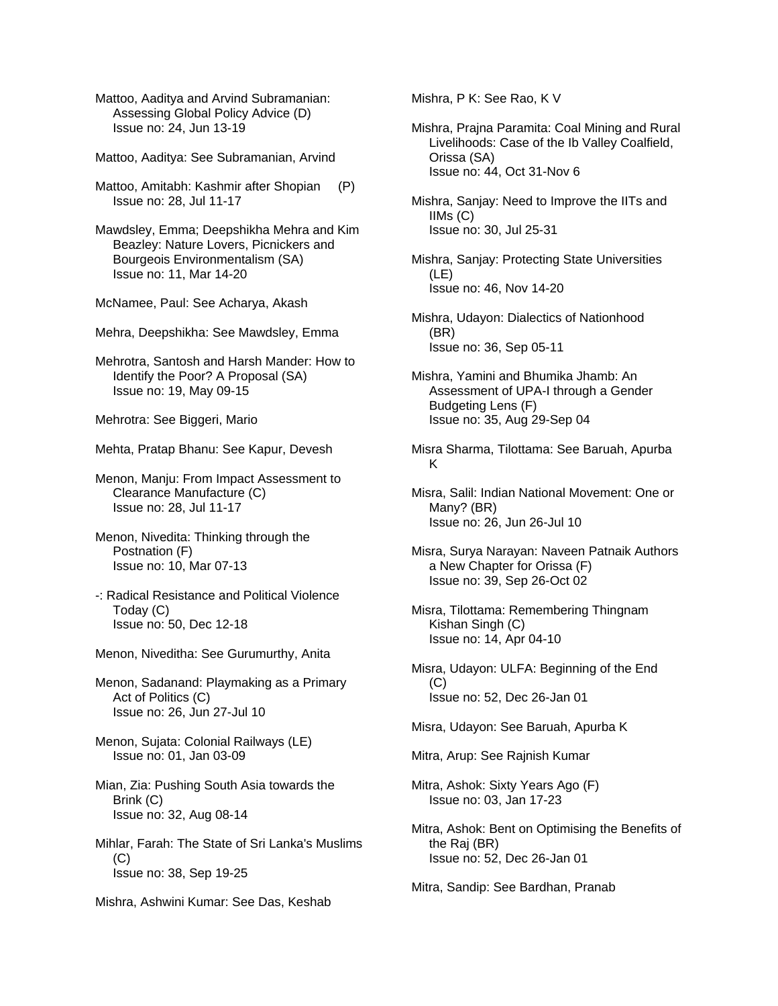Mattoo, Aaditya and Arvind Subramanian: Assessing Global Policy Advice (D) Issue no: 24, Jun 13-19

Mattoo, Aaditya: See Subramanian, Arvind

Mattoo, Amitabh: Kashmir after Shopian (P) Issue no: 28, Jul 11-17

Mawdsley, Emma; Deepshikha Mehra and Kim Beazley: Nature Lovers, Picnickers and Bourgeois Environmentalism (SA) Issue no: 11, Mar 14-20

McNamee, Paul: See Acharya, Akash

Mehra, Deepshikha: See Mawdsley, Emma

Mehrotra, Santosh and Harsh Mander: How to Identify the Poor? A Proposal (SA) Issue no: 19, May 09-15

Mehrotra: See Biggeri, Mario

Mehta, Pratap Bhanu: See Kapur, Devesh

Menon, Manju: From Impact Assessment to Clearance Manufacture (C) Issue no: 28, Jul 11-17

Menon, Nivedita: Thinking through the Postnation (F) Issue no: 10, Mar 07-13

-: Radical Resistance and Political Violence Today (C) Issue no: 50, Dec 12-18

Menon, Niveditha: See Gurumurthy, Anita

Menon, Sadanand: Playmaking as a Primary Act of Politics (C) Issue no: 26, Jun 27-Jul 10

Menon, Sujata: Colonial Railways (LE) Issue no: 01, Jan 03-09

Mian, Zia: Pushing South Asia towards the Brink (C) Issue no: 32, Aug 08-14

Mihlar, Farah: The State of Sri Lanka's Muslims (C) Issue no: 38, Sep 19-25

Mishra, Ashwini Kumar: See Das, Keshab

Mishra, P K: See Rao, K V

Mishra, Prajna Paramita: Coal Mining and Rural Livelihoods: Case of the Ib Valley Coalfield, Orissa (SA) Issue no: 44, Oct 31-Nov 6

Mishra, Sanjay: Need to Improve the IITs and IIMs (C) Issue no: 30, Jul 25-31

Mishra, Sanjay: Protecting State Universities (LE) Issue no: 46, Nov 14-20

Mishra, Udayon: Dialectics of Nationhood (BR) Issue no: 36, Sep 05-11

Mishra, Yamini and Bhumika Jhamb: An Assessment of UPA-I through a Gender Budgeting Lens (F) Issue no: 35, Aug 29-Sep 04

Misra Sharma, Tilottama: See Baruah, Apurba K

Misra, Salil: Indian National Movement: One or Many? (BR) Issue no: 26, Jun 26-Jul 10

Misra, Surya Narayan: Naveen Patnaik Authors a New Chapter for Orissa (F) Issue no: 39, Sep 26-Oct 02

- Misra, Tilottama: Remembering Thingnam Kishan Singh (C) Issue no: 14, Apr 04-10
- Misra, Udayon: ULFA: Beginning of the End (C) Issue no: 52, Dec 26-Jan 01

Misra, Udayon: See Baruah, Apurba K

Mitra, Arup: See Rajnish Kumar

Mitra, Ashok: Sixty Years Ago (F) Issue no: 03, Jan 17-23

Mitra, Ashok: Bent on Optimising the Benefits of the Raj (BR) Issue no: 52, Dec 26-Jan 01

Mitra, Sandip: See Bardhan, Pranab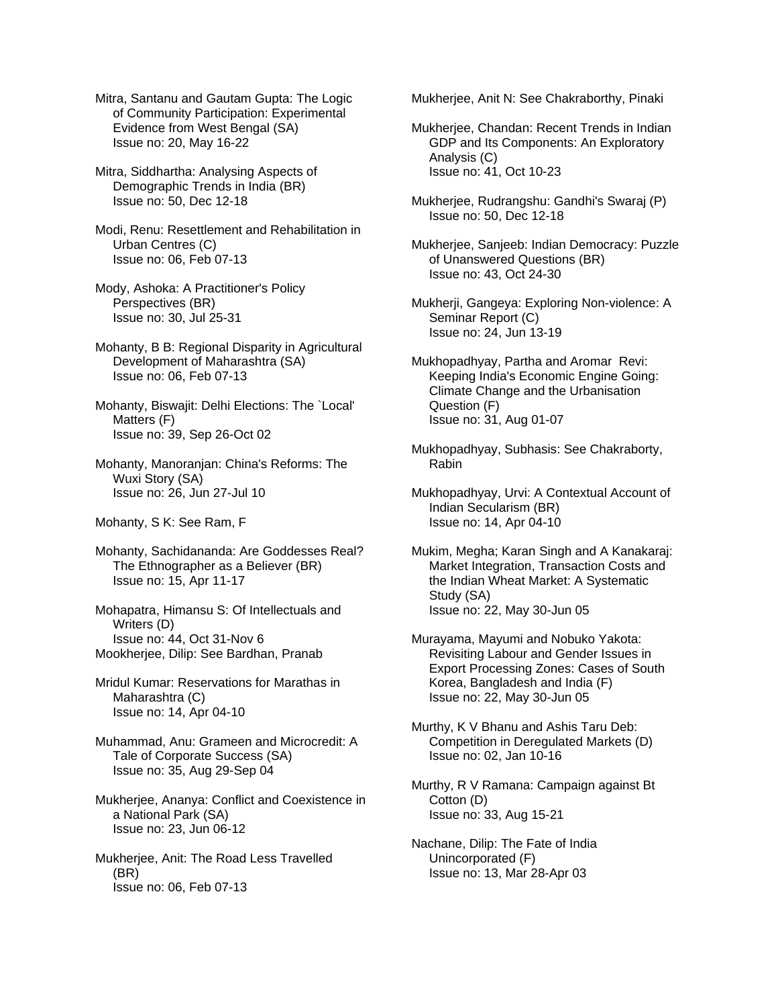Mitra, Santanu and Gautam Gupta: The Logic of Community Participation: Experimental Evidence from West Bengal (SA) Issue no: 20, May 16-22

Mitra, Siddhartha: Analysing Aspects of Demographic Trends in India (BR) Issue no: 50, Dec 12-18

Modi, Renu: Resettlement and Rehabilitation in Urban Centres (C) Issue no: 06, Feb 07-13

Mody, Ashoka: A Practitioner's Policy Perspectives (BR) Issue no: 30, Jul 25-31

Mohanty, B B: Regional Disparity in Agricultural Development of Maharashtra (SA) Issue no: 06, Feb 07-13

Mohanty, Biswajit: Delhi Elections: The `Local' Matters (F) Issue no: 39, Sep 26-Oct 02

Mohanty, Manoranjan: China's Reforms: The Wuxi Story (SA) Issue no: 26, Jun 27-Jul 10

Mohanty, S K: See Ram, F

Mohanty, Sachidananda: Are Goddesses Real? The Ethnographer as a Believer (BR) Issue no: 15, Apr 11-17

Mohapatra, Himansu S: Of Intellectuals and Writers (D) Issue no: 44, Oct 31-Nov 6 Mookherjee, Dilip: See Bardhan, Pranab

Mridul Kumar: Reservations for Marathas in Maharashtra (C) Issue no: 14, Apr 04-10

Muhammad, Anu: Grameen and Microcredit: A Tale of Corporate Success (SA) Issue no: 35, Aug 29-Sep 04

Mukherjee, Ananya: Conflict and Coexistence in a National Park (SA) Issue no: 23, Jun 06-12

Mukherjee, Anit: The Road Less Travelled (BR) Issue no: 06, Feb 07-13

Mukherjee, Anit N: See Chakraborthy, Pinaki

Mukherjee, Chandan: Recent Trends in Indian GDP and Its Components: An Exploratory Analysis (C) Issue no: 41, Oct 10-23

Mukherjee, Rudrangshu: Gandhi's Swaraj (P) Issue no: 50, Dec 12-18

Mukherjee, Sanjeeb: Indian Democracy: Puzzle of Unanswered Questions (BR) Issue no: 43, Oct 24-30

Mukherji, Gangeya: Exploring Non-violence: A Seminar Report (C) Issue no: 24, Jun 13-19

Mukhopadhyay, Partha and Aromar Revi: Keeping India's Economic Engine Going: Climate Change and the Urbanisation Question (F) Issue no: 31, Aug 01-07

Mukhopadhyay, Subhasis: See Chakraborty, Rabin

Mukhopadhyay, Urvi: A Contextual Account of Indian Secularism (BR) Issue no: 14, Apr 04-10

Mukim, Megha; Karan Singh and A Kanakaraj: Market Integration, Transaction Costs and the Indian Wheat Market: A Systematic Study (SA) Issue no: 22, May 30-Jun 05

Murayama, Mayumi and Nobuko Yakota: Revisiting Labour and Gender Issues in Export Processing Zones: Cases of South Korea, Bangladesh and India (F) Issue no: 22, May 30-Jun 05

Murthy, K V Bhanu and Ashis Taru Deb: Competition in Deregulated Markets (D) Issue no: 02, Jan 10-16

Murthy, R V Ramana: Campaign against Bt Cotton (D) Issue no: 33, Aug 15-21

Nachane, Dilip: The Fate of India Unincorporated (F) Issue no: 13, Mar 28-Apr 03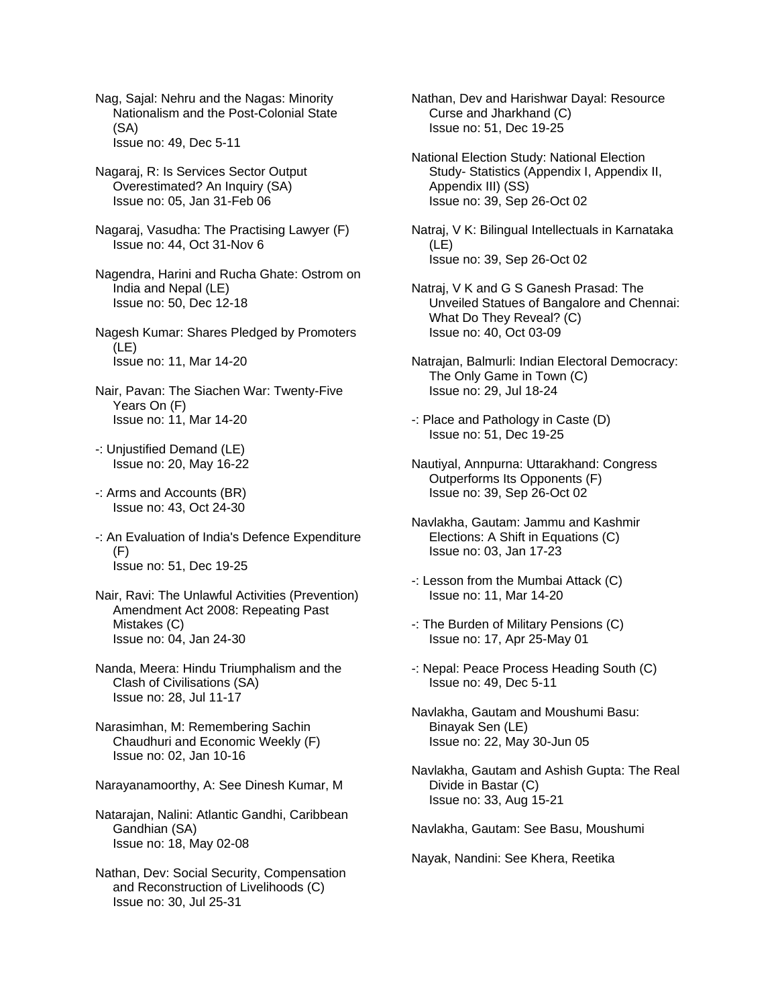Nag, Sajal: Nehru and the Nagas: Minority Nationalism and the Post-Colonial State (SA) Issue no: 49, Dec 5-11

- Nagaraj, R: Is Services Sector Output Overestimated? An Inquiry (SA) Issue no: 05, Jan 31-Feb 06
- Nagaraj, Vasudha: The Practising Lawyer (F) Issue no: 44, Oct 31-Nov 6
- Nagendra, Harini and Rucha Ghate: Ostrom on India and Nepal (LE) Issue no: 50, Dec 12-18
- Nagesh Kumar: Shares Pledged by Promoters (LE) Issue no: 11, Mar 14-20
- Nair, Pavan: The Siachen War: Twenty-Five Years On (F) Issue no: 11, Mar 14-20
- -: Unjustified Demand (LE) Issue no: 20, May 16-22
- -: Arms and Accounts (BR) Issue no: 43, Oct 24-30
- -: An Evaluation of India's Defence Expenditure (F) Issue no: 51, Dec 19-25
- Nair, Ravi: The Unlawful Activities (Prevention) Amendment Act 2008: Repeating Past Mistakes (C) Issue no: 04, Jan 24-30
- Nanda, Meera: Hindu Triumphalism and the Clash of Civilisations (SA) Issue no: 28, Jul 11-17
- Narasimhan, M: Remembering Sachin Chaudhuri and Economic Weekly (F) Issue no: 02, Jan 10-16
- Narayanamoorthy, A: See Dinesh Kumar, M
- Natarajan, Nalini: Atlantic Gandhi, Caribbean Gandhian (SA) Issue no: 18, May 02-08
- Nathan, Dev: Social Security, Compensation and Reconstruction of Livelihoods (C) Issue no: 30, Jul 25-31

Nathan, Dev and Harishwar Dayal: Resource Curse and Jharkhand (C) Issue no: 51, Dec 19-25

National Election Study: National Election Study- Statistics (Appendix I, Appendix II, Appendix III) (SS) Issue no: 39, Sep 26-Oct 02

Natraj, V K: Bilingual Intellectuals in Karnataka (LE) Issue no: 39, Sep 26-Oct 02

- Natraj, V K and G S Ganesh Prasad: The Unveiled Statues of Bangalore and Chennai: What Do They Reveal? (C) Issue no: 40, Oct 03-09
- Natrajan, Balmurli: Indian Electoral Democracy: The Only Game in Town (C) Issue no: 29, Jul 18-24
- -: Place and Pathology in Caste (D) Issue no: 51, Dec 19-25
- Nautiyal, Annpurna: Uttarakhand: Congress Outperforms Its Opponents (F) Issue no: 39, Sep 26-Oct 02
- Navlakha, Gautam: Jammu and Kashmir Elections: A Shift in Equations (C) Issue no: 03, Jan 17-23
- -: Lesson from the Mumbai Attack (C) Issue no: 11, Mar 14-20
- -: The Burden of Military Pensions (C) Issue no: 17, Apr 25-May 01
- -: Nepal: Peace Process Heading South (C) Issue no: 49, Dec 5-11
- Navlakha, Gautam and Moushumi Basu: Binayak Sen (LE) Issue no: 22, May 30-Jun 05
- Navlakha, Gautam and Ashish Gupta: The Real Divide in Bastar (C) Issue no: 33, Aug 15-21
- Navlakha, Gautam: See Basu, Moushumi

Nayak, Nandini: See Khera, Reetika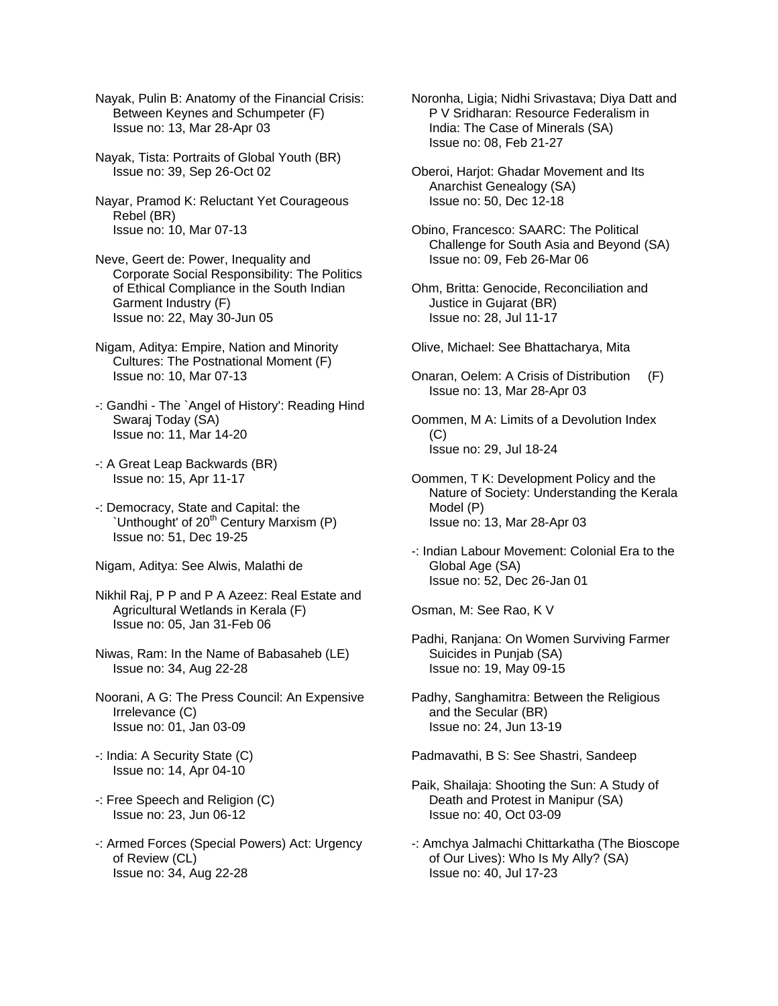Nayak, Pulin B: Anatomy of the Financial Crisis: Between Keynes and Schumpeter (F) Issue no: 13, Mar 28-Apr 03

Nayak, Tista: Portraits of Global Youth (BR) Issue no: 39, Sep 26-Oct 02

Nayar, Pramod K: Reluctant Yet Courageous Rebel (BR) Issue no: 10, Mar 07-13

Neve, Geert de: Power, Inequality and Corporate Social Responsibility: The Politics of Ethical Compliance in the South Indian Garment Industry (F) Issue no: 22, May 30-Jun 05

- Nigam, Aditya: Empire, Nation and Minority Cultures: The Postnational Moment (F) Issue no: 10, Mar 07-13
- -: Gandhi The `Angel of History': Reading Hind Swaraj Today (SA) Issue no: 11, Mar 14-20
- -: A Great Leap Backwards (BR) Issue no: 15, Apr 11-17
- -: Democracy, State and Capital: the `Unthought' of 20<sup>th</sup> Century Marxism (P) Issue no: 51, Dec 19-25
- Nigam, Aditya: See Alwis, Malathi de

Nikhil Raj, P P and P A Azeez: Real Estate and Agricultural Wetlands in Kerala (F) Issue no: 05, Jan 31-Feb 06

- Niwas, Ram: In the Name of Babasaheb (LE) Issue no: 34, Aug 22-28
- Noorani, A G: The Press Council: An Expensive Irrelevance (C) Issue no: 01, Jan 03-09
- -: India: A Security State (C) Issue no: 14, Apr 04-10
- -: Free Speech and Religion (C) Issue no: 23, Jun 06-12
- -: Armed Forces (Special Powers) Act: Urgency of Review (CL) Issue no: 34, Aug 22-28

Noronha, Ligia; Nidhi Srivastava; Diya Datt and P V Sridharan: Resource Federalism in India: The Case of Minerals (SA) Issue no: 08, Feb 21-27

- Oberoi, Harjot: Ghadar Movement and Its Anarchist Genealogy (SA) Issue no: 50, Dec 12-18
- Obino, Francesco: SAARC: The Political Challenge for South Asia and Beyond (SA) Issue no: 09, Feb 26-Mar 06
- Ohm, Britta: Genocide, Reconciliation and Justice in Gujarat (BR) Issue no: 28, Jul 11-17
- Olive, Michael: See Bhattacharya, Mita
- Onaran, Oelem: A Crisis of Distribution (F) Issue no: 13, Mar 28-Apr 03
- Oommen, M A: Limits of a Devolution Index  $(C)$ Issue no: 29, Jul 18-24
- Oommen, T K: Development Policy and the Nature of Society: Understanding the Kerala Model (P) Issue no: 13, Mar 28-Apr 03
- -: Indian Labour Movement: Colonial Era to the Global Age (SA) Issue no: 52, Dec 26-Jan 01

Osman, M: See Rao, K V

- Padhi, Ranjana: On Women Surviving Farmer Suicides in Punjab (SA) Issue no: 19, May 09-15
- Padhy, Sanghamitra: Between the Religious and the Secular (BR) Issue no: 24, Jun 13-19

Padmavathi, B S: See Shastri, Sandeep

- Paik, Shailaja: Shooting the Sun: A Study of Death and Protest in Manipur (SA) Issue no: 40, Oct 03-09
- -: Amchya Jalmachi Chittarkatha (The Bioscope of Our Lives): Who Is My Ally? (SA) Issue no: 40, Jul 17-23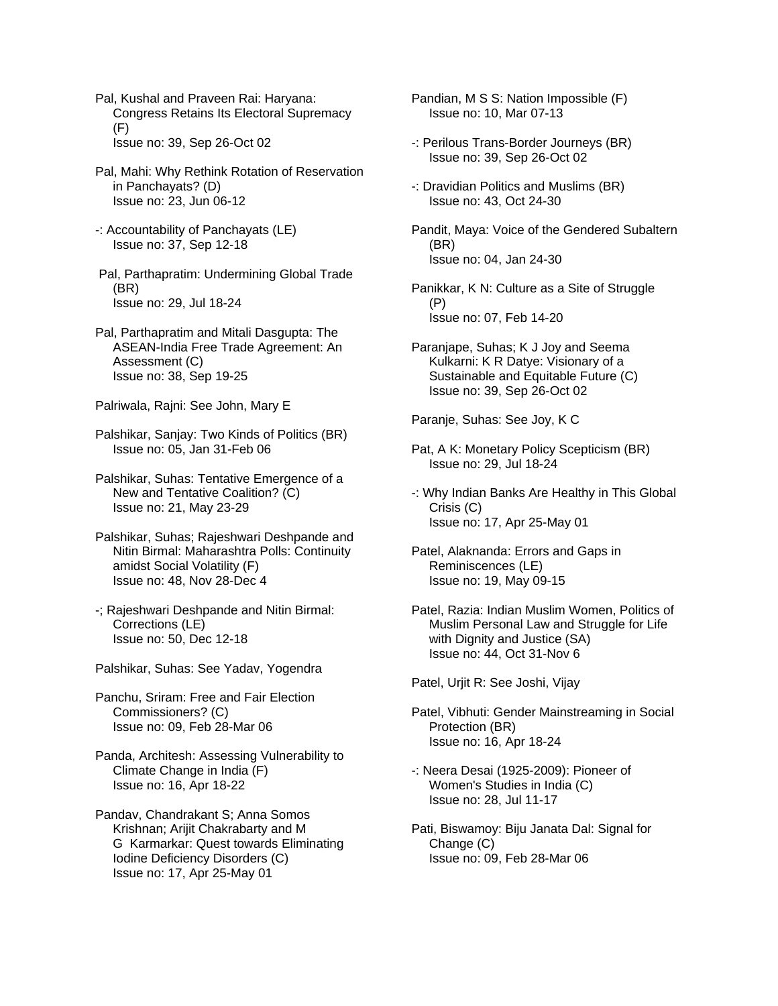Pal, Kushal and Praveen Rai: Haryana: Congress Retains Its Electoral Supremacy (F) Issue no: 39, Sep 26-Oct 02

Pal, Mahi: Why Rethink Rotation of Reservation in Panchayats? (D) Issue no: 23, Jun 06-12

-: Accountability of Panchayats (LE) Issue no: 37, Sep 12-18

 Pal, Parthapratim: Undermining Global Trade (BR) Issue no: 29, Jul 18-24

Pal, Parthapratim and Mitali Dasgupta: The ASEAN-India Free Trade Agreement: An Assessment (C) Issue no: 38, Sep 19-25

Palriwala, Rajni: See John, Mary E

Palshikar, Sanjay: Two Kinds of Politics (BR) Issue no: 05, Jan 31-Feb 06

Palshikar, Suhas: Tentative Emergence of a New and Tentative Coalition? (C) Issue no: 21, May 23-29

Palshikar, Suhas; Rajeshwari Deshpande and Nitin Birmal: Maharashtra Polls: Continuity amidst Social Volatility (F) Issue no: 48, Nov 28-Dec 4

-; Rajeshwari Deshpande and Nitin Birmal: Corrections (LE) Issue no: 50, Dec 12-18

Palshikar, Suhas: See Yadav, Yogendra

Panchu, Sriram: Free and Fair Election Commissioners? (C) Issue no: 09, Feb 28-Mar 06

Panda, Architesh: Assessing Vulnerability to Climate Change in India (F) Issue no: 16, Apr 18-22

Pandav, Chandrakant S; Anna Somos Krishnan; Arijit Chakrabarty and M G Karmarkar: Quest towards Eliminating Iodine Deficiency Disorders (C) Issue no: 17, Apr 25-May 01

Pandian, M S S: Nation Impossible (F) Issue no: 10, Mar 07-13

-: Perilous Trans-Border Journeys (BR) Issue no: 39, Sep 26-Oct 02

-: Dravidian Politics and Muslims (BR) Issue no: 43, Oct 24-30

Pandit, Maya: Voice of the Gendered Subaltern (BR) Issue no: 04, Jan 24-30

Panikkar, K N: Culture as a Site of Struggle (P) Issue no: 07, Feb 14-20

Paranjape, Suhas; K J Joy and Seema Kulkarni: K R Datye: Visionary of a Sustainable and Equitable Future (C) Issue no: 39, Sep 26-Oct 02

Paranje, Suhas: See Joy, K C

Pat, A K: Monetary Policy Scepticism (BR) Issue no: 29, Jul 18-24

-: Why Indian Banks Are Healthy in This Global Crisis (C) Issue no: 17, Apr 25-May 01

Patel, Alaknanda: Errors and Gaps in Reminiscences (LE) Issue no: 19, May 09-15

Patel, Razia: Indian Muslim Women, Politics of Muslim Personal Law and Struggle for Life with Dignity and Justice (SA) Issue no: 44, Oct 31-Nov 6

Patel, Urjit R: See Joshi, Vijay

Patel, Vibhuti: Gender Mainstreaming in Social Protection (BR) Issue no: 16, Apr 18-24

-: Neera Desai (1925-2009): Pioneer of Women's Studies in India (C) Issue no: 28, Jul 11-17

Pati, Biswamoy: Biju Janata Dal: Signal for Change (C) Issue no: 09, Feb 28-Mar 06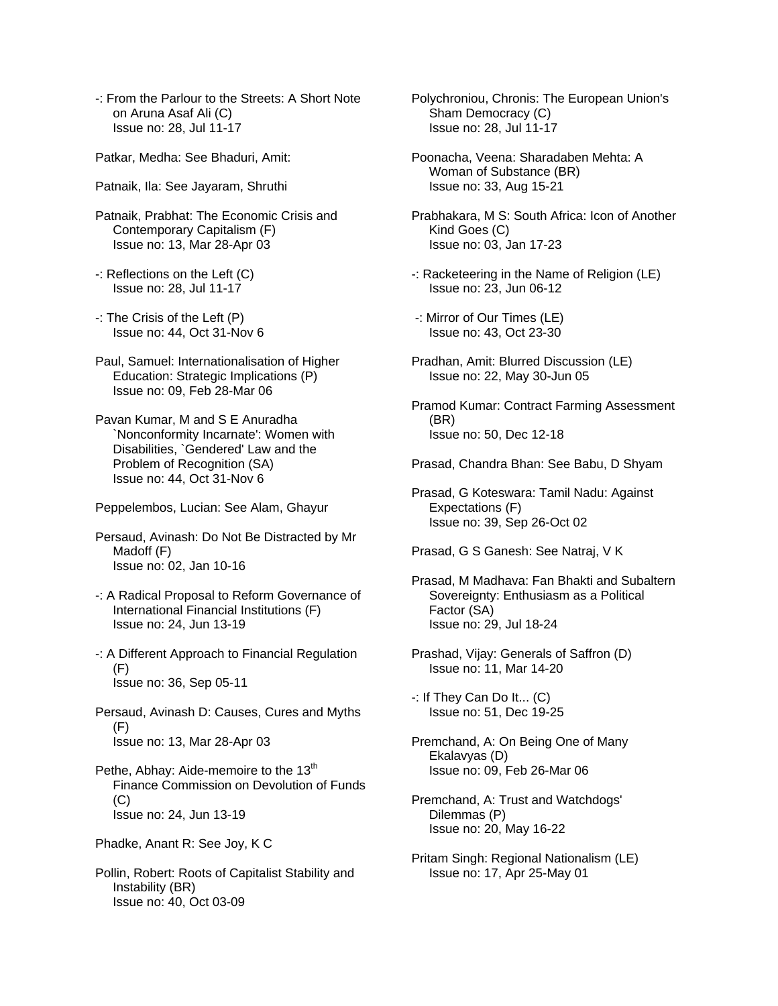- -: From the Parlour to the Streets: A Short Note on Aruna Asaf Ali (C) Issue no: 28, Jul 11-17
- Patkar, Medha: See Bhaduri, Amit:
- Patnaik, Ila: See Jayaram, Shruthi
- Patnaik, Prabhat: The Economic Crisis and Contemporary Capitalism (F) Issue no: 13, Mar 28-Apr 03
- -: Reflections on the Left (C) Issue no: 28, Jul 11-17
- -: The Crisis of the Left (P) Issue no: 44, Oct 31-Nov 6
- Paul, Samuel: Internationalisation of Higher Education: Strategic Implications (P) Issue no: 09, Feb 28-Mar 06
- Pavan Kumar, M and S E Anuradha `Nonconformity Incarnate': Women with Disabilities, `Gendered' Law and the Problem of Recognition (SA) Issue no: 44, Oct 31-Nov 6
- Peppelembos, Lucian: See Alam, Ghayur
- Persaud, Avinash: Do Not Be Distracted by Mr Madoff (F) Issue no: 02, Jan 10-16
- -: A Radical Proposal to Reform Governance of International Financial Institutions (F) Issue no: 24, Jun 13-19
- -: A Different Approach to Financial Regulation (F) Issue no: 36, Sep 05-11
- Persaud, Avinash D: Causes, Cures and Myths (F) Issue no: 13, Mar 28-Apr 03
- Pethe, Abhay: Aide-memoire to the 13<sup>th</sup> Finance Commission on Devolution of Funds  $(C)$ Issue no: 24, Jun 13-19
- Phadke, Anant R: See Joy, K C
- Pollin, Robert: Roots of Capitalist Stability and Instability (BR) Issue no: 40, Oct 03-09
- Polychroniou, Chronis: The European Union's Sham Democracy (C) Issue no: 28, Jul 11-17
- Poonacha, Veena: Sharadaben Mehta: A Woman of Substance (BR) Issue no: 33, Aug 15-21
- Prabhakara, M S: South Africa: Icon of Another Kind Goes (C) Issue no: 03, Jan 17-23
- -: Racketeering in the Name of Religion (LE) Issue no: 23, Jun 06-12
- -: Mirror of Our Times (LE) Issue no: 43, Oct 23-30
- Pradhan, Amit: Blurred Discussion (LE) Issue no: 22, May 30-Jun 05
- Pramod Kumar: Contract Farming Assessment (BR) Issue no: 50, Dec 12-18
- Prasad, Chandra Bhan: See Babu, D Shyam
- Prasad, G Koteswara: Tamil Nadu: Against Expectations (F) Issue no: 39, Sep 26-Oct 02
- Prasad, G S Ganesh: See Natraj, V K
- Prasad, M Madhava: Fan Bhakti and Subaltern Sovereignty: Enthusiasm as a Political Factor (SA) Issue no: 29, Jul 18-24
- Prashad, Vijay: Generals of Saffron (D) Issue no: 11, Mar 14-20
- -: If They Can Do It... (C) Issue no: 51, Dec 19-25
- Premchand, A: On Being One of Many Ekalavyas (D) Issue no: 09, Feb 26-Mar 06
- Premchand, A: Trust and Watchdogs' Dilemmas (P) Issue no: 20, May 16-22
- Pritam Singh: Regional Nationalism (LE) Issue no: 17, Apr 25-May 01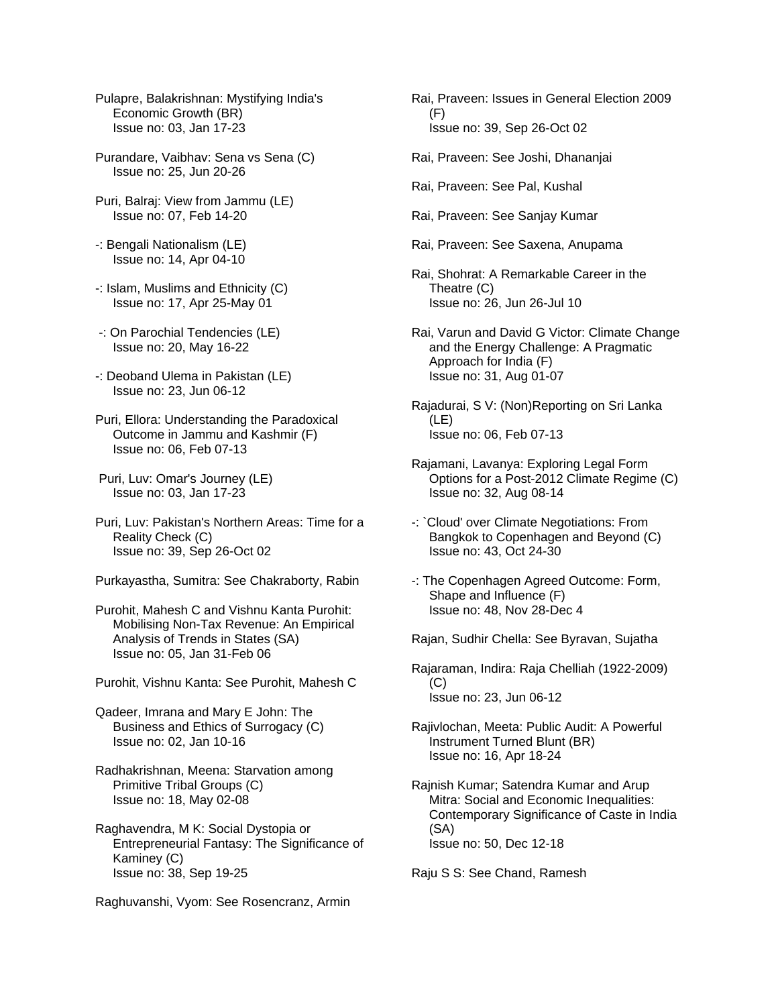- Pulapre, Balakrishnan: Mystifying India's Economic Growth (BR) Issue no: 03, Jan 17-23
- Purandare, Vaibhav: Sena vs Sena (C) Issue no: 25, Jun 20-26
- Puri, Balraj: View from Jammu (LE) Issue no: 07, Feb 14-20
- -: Bengali Nationalism (LE) Issue no: 14, Apr 04-10
- -: Islam, Muslims and Ethnicity (C) Issue no: 17, Apr 25-May 01
- -: On Parochial Tendencies (LE) Issue no: 20, May 16-22
- -: Deoband Ulema in Pakistan (LE) Issue no: 23, Jun 06-12
- Puri, Ellora: Understanding the Paradoxical Outcome in Jammu and Kashmir (F) Issue no: 06, Feb 07-13
- Puri, Luv: Omar's Journey (LE) Issue no: 03, Jan 17-23
- Puri, Luv: Pakistan's Northern Areas: Time for a Reality Check (C) Issue no: 39, Sep 26-Oct 02
- Purkayastha, Sumitra: See Chakraborty, Rabin
- Purohit, Mahesh C and Vishnu Kanta Purohit: Mobilising Non-Tax Revenue: An Empirical Analysis of Trends in States (SA) Issue no: 05, Jan 31-Feb 06
- Purohit, Vishnu Kanta: See Purohit, Mahesh C
- Qadeer, Imrana and Mary E John: The Business and Ethics of Surrogacy (C) Issue no: 02, Jan 10-16
- Radhakrishnan, Meena: Starvation among Primitive Tribal Groups (C) Issue no: 18, May 02-08
- Raghavendra, M K: Social Dystopia or Entrepreneurial Fantasy: The Significance of Kaminey (C) Issue no: 38, Sep 19-25
- Raghuvanshi, Vyom: See Rosencranz, Armin
- Rai, Praveen: Issues in General Election 2009 (F) Issue no: 39, Sep 26-Oct 02
- Rai, Praveen: See Joshi, Dhananjai
- Rai, Praveen: See Pal, Kushal
- Rai, Praveen: See Sanjay Kumar
- Rai, Praveen: See Saxena, Anupama
- Rai, Shohrat: A Remarkable Career in the Theatre (C) Issue no: 26, Jun 26-Jul 10
- Rai, Varun and David G Victor: Climate Change and the Energy Challenge: A Pragmatic Approach for India (F) Issue no: 31, Aug 01-07

Rajadurai, S V: (Non)Reporting on Sri Lanka (LE) Issue no: 06, Feb 07-13

- Rajamani, Lavanya: Exploring Legal Form Options for a Post-2012 Climate Regime (C) Issue no: 32, Aug 08-14
- -: `Cloud' over Climate Negotiations: From Bangkok to Copenhagen and Beyond (C) Issue no: 43, Oct 24-30
- -: The Copenhagen Agreed Outcome: Form, Shape and Influence (F) Issue no: 48, Nov 28-Dec 4
- Rajan, Sudhir Chella: See Byravan, Sujatha
- Rajaraman, Indira: Raja Chelliah (1922-2009) (C) Issue no: 23, Jun 06-12
- Rajivlochan, Meeta: Public Audit: A Powerful Instrument Turned Blunt (BR) Issue no: 16, Apr 18-24
- Rajnish Kumar; Satendra Kumar and Arup Mitra: Social and Economic Inequalities: Contemporary Significance of Caste in India (SA) Issue no: 50, Dec 12-18

Raju S S: See Chand, Ramesh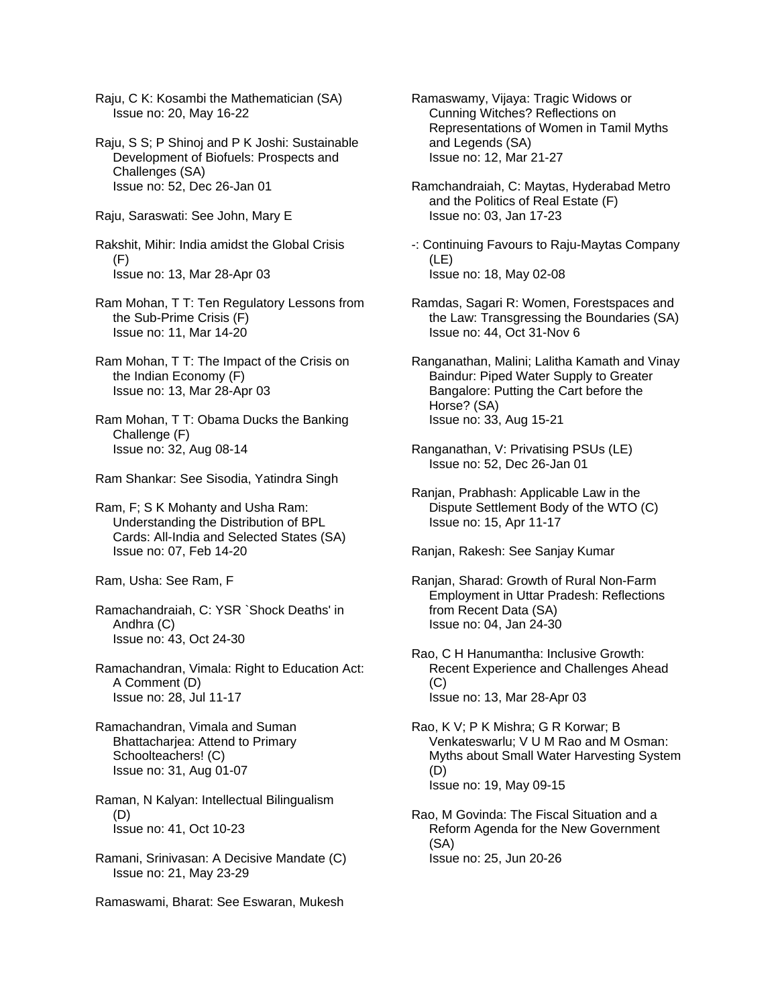- Raju, C K: Kosambi the Mathematician (SA) Issue no: 20, May 16-22
- Raju, S S; P Shinoj and P K Joshi: Sustainable Development of Biofuels: Prospects and Challenges (SA) Issue no: 52, Dec 26-Jan 01
- Raju, Saraswati: See John, Mary E

Rakshit, Mihir: India amidst the Global Crisis (F) Issue no: 13, Mar 28-Apr 03

Ram Mohan, T T: Ten Regulatory Lessons from the Sub-Prime Crisis (F) Issue no: 11, Mar 14-20

- Ram Mohan, T T: The Impact of the Crisis on the Indian Economy (F) Issue no: 13, Mar 28-Apr 03
- Ram Mohan, T T: Obama Ducks the Banking Challenge (F) Issue no: 32, Aug 08-14
- Ram Shankar: See Sisodia, Yatindra Singh

Ram, F; S K Mohanty and Usha Ram: Understanding the Distribution of BPL Cards: All-India and Selected States (SA) Issue no: 07, Feb 14-20

Ram, Usha: See Ram, F

- Ramachandraiah, C: YSR `Shock Deaths' in Andhra (C) Issue no: 43, Oct 24-30
- Ramachandran, Vimala: Right to Education Act: A Comment (D) Issue no: 28, Jul 11-17
- Ramachandran, Vimala and Suman Bhattacharjea: Attend to Primary Schoolteachers! (C) Issue no: 31, Aug 01-07
- Raman, N Kalyan: Intellectual Bilingualism (D) Issue no: 41, Oct 10-23
- Ramani, Srinivasan: A Decisive Mandate (C) Issue no: 21, May 23-29
- Ramaswami, Bharat: See Eswaran, Mukesh
- Ramaswamy, Vijaya: Tragic Widows or Cunning Witches? Reflections on Representations of Women in Tamil Myths and Legends (SA) Issue no: 12, Mar 21-27
- Ramchandraiah, C: Maytas, Hyderabad Metro and the Politics of Real Estate (F) Issue no: 03, Jan 17-23
- -: Continuing Favours to Raju-Maytas Company (LE) Issue no: 18, May 02-08
- Ramdas, Sagari R: Women, Forestspaces and the Law: Transgressing the Boundaries (SA) Issue no: 44, Oct 31-Nov 6
- Ranganathan, Malini; Lalitha Kamath and Vinay Baindur: Piped Water Supply to Greater Bangalore: Putting the Cart before the Horse? (SA) Issue no: 33, Aug 15-21
- Ranganathan, V: Privatising PSUs (LE) Issue no: 52, Dec 26-Jan 01
- Ranjan, Prabhash: Applicable Law in the Dispute Settlement Body of the WTO (C) Issue no: 15, Apr 11-17

Ranjan, Rakesh: See Sanjay Kumar

- Ranjan, Sharad: Growth of Rural Non-Farm Employment in Uttar Pradesh: Reflections from Recent Data (SA) Issue no: 04, Jan 24-30
- Rao, C H Hanumantha: Inclusive Growth: Recent Experience and Challenges Ahead (C) Issue no: 13, Mar 28-Apr 03

Rao, K V; P K Mishra; G R Korwar; B Venkateswarlu; V U M Rao and M Osman: Myths about Small Water Harvesting System (D) Issue no: 19, May 09-15

Rao, M Govinda: The Fiscal Situation and a Reform Agenda for the New Government (SA) Issue no: 25, Jun 20-26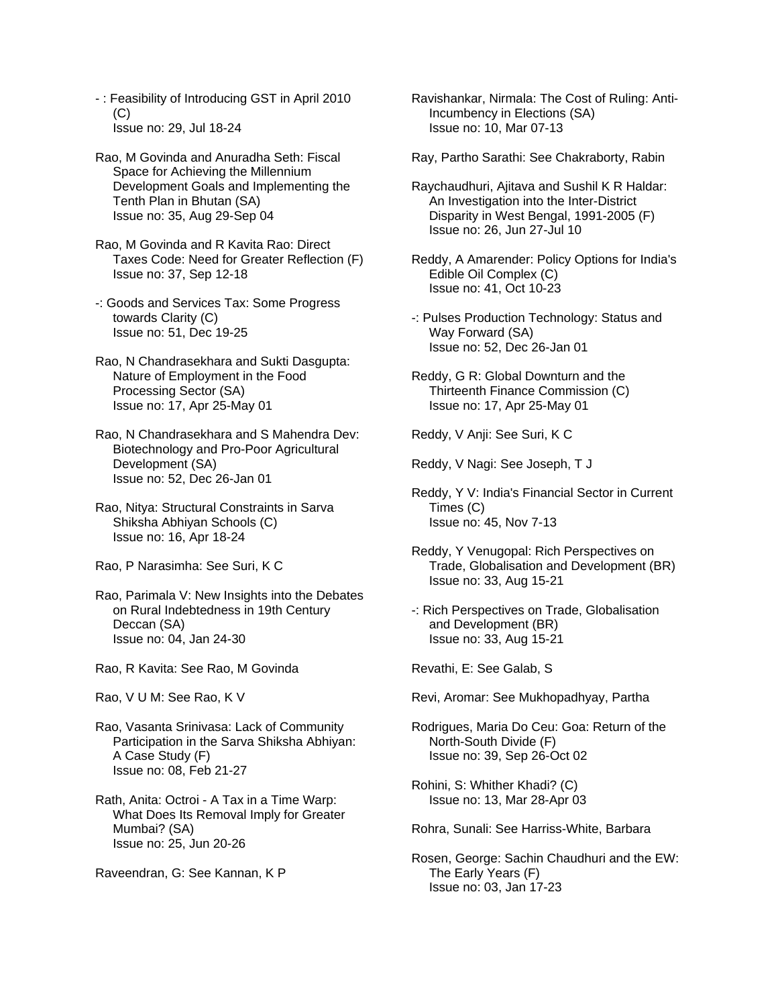- : Feasibility of Introducing GST in April 2010 (C) Issue no: 29, Jul 18-24
- Rao, M Govinda and Anuradha Seth: Fiscal Space for Achieving the Millennium Development Goals and Implementing the Tenth Plan in Bhutan (SA) Issue no: 35, Aug 29-Sep 04
- Rao, M Govinda and R Kavita Rao: Direct Taxes Code: Need for Greater Reflection (F) Issue no: 37, Sep 12-18
- -: Goods and Services Tax: Some Progress towards Clarity (C) Issue no: 51, Dec 19-25
- Rao, N Chandrasekhara and Sukti Dasgupta: Nature of Employment in the Food Processing Sector (SA) Issue no: 17, Apr 25-May 01
- Rao, N Chandrasekhara and S Mahendra Dev: Biotechnology and Pro-Poor Agricultural Development (SA) Issue no: 52, Dec 26-Jan 01
- Rao, Nitya: Structural Constraints in Sarva Shiksha Abhiyan Schools (C) Issue no: 16, Apr 18-24
- Rao, P Narasimha: See Suri, K C
- Rao, Parimala V: New Insights into the Debates on Rural Indebtedness in 19th Century Deccan (SA) Issue no: 04, Jan 24-30
- Rao, R Kavita: See Rao, M Govinda
- Rao, V U M: See Rao, K V
- Rao, Vasanta Srinivasa: Lack of Community Participation in the Sarva Shiksha Abhiyan: A Case Study (F) Issue no: 08, Feb 21-27
- Rath, Anita: Octroi A Tax in a Time Warp: What Does Its Removal Imply for Greater Mumbai? (SA) Issue no: 25, Jun 20-26
- Raveendran, G: See Kannan, K P
- Ravishankar, Nirmala: The Cost of Ruling: Anti- Incumbency in Elections (SA) Issue no: 10, Mar 07-13
- Ray, Partho Sarathi: See Chakraborty, Rabin
- Raychaudhuri, Ajitava and Sushil K R Haldar: An Investigation into the Inter-District Disparity in West Bengal, 1991-2005 (F) Issue no: 26, Jun 27-Jul 10
- Reddy, A Amarender: Policy Options for India's Edible Oil Complex (C) Issue no: 41, Oct 10-23
- -: Pulses Production Technology: Status and Way Forward (SA) Issue no: 52, Dec 26-Jan 01
- Reddy, G R: Global Downturn and the Thirteenth Finance Commission (C) Issue no: 17, Apr 25-May 01
- Reddy, V Anji: See Suri, K C
- Reddy, V Nagi: See Joseph, T J
- Reddy, Y V: India's Financial Sector in Current Times (C) Issue no: 45, Nov 7-13
- Reddy, Y Venugopal: Rich Perspectives on Trade, Globalisation and Development (BR) Issue no: 33, Aug 15-21
- -: Rich Perspectives on Trade, Globalisation and Development (BR) Issue no: 33, Aug 15-21
- Revathi, E: See Galab, S
- Revi, Aromar: See Mukhopadhyay, Partha
- Rodrigues, Maria Do Ceu: Goa: Return of the North-South Divide (F) Issue no: 39, Sep 26-Oct 02
- Rohini, S: Whither Khadi? (C) Issue no: 13, Mar 28-Apr 03
- Rohra, Sunali: See Harriss-White, Barbara
- Rosen, George: Sachin Chaudhuri and the EW: The Early Years (F) Issue no: 03, Jan 17-23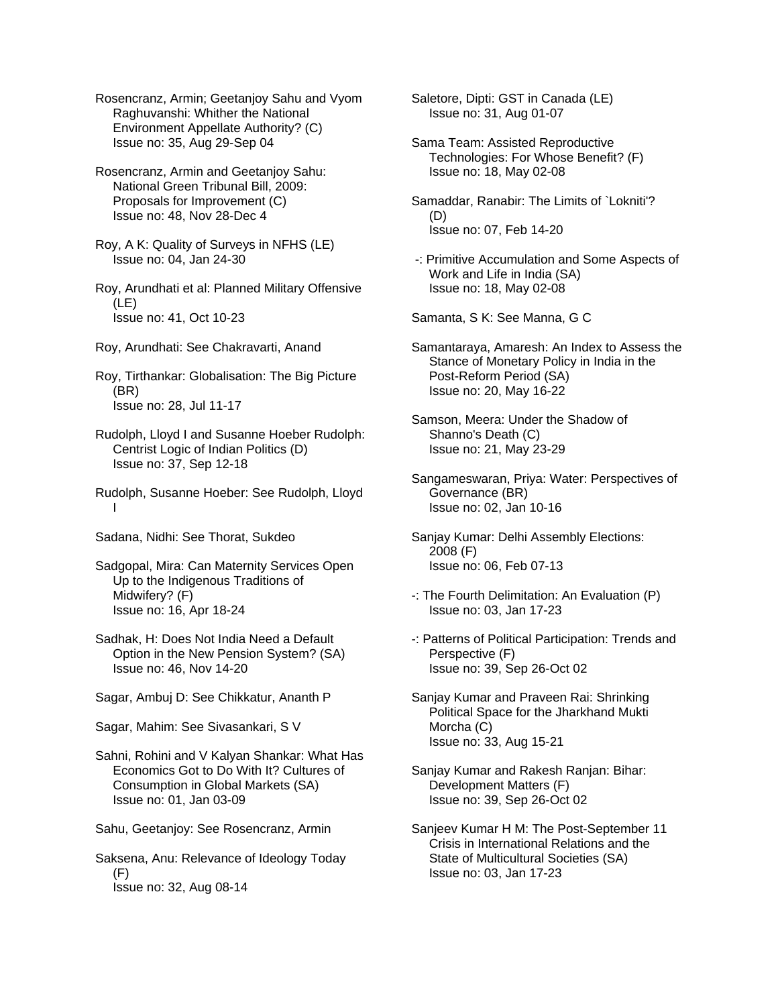Rosencranz, Armin; Geetanjoy Sahu and Vyom Raghuvanshi: Whither the National Environment Appellate Authority? (C) Issue no: 35, Aug 29-Sep 04

Rosencranz, Armin and Geetanjoy Sahu: National Green Tribunal Bill, 2009: Proposals for Improvement (C) Issue no: 48, Nov 28-Dec 4

Roy, A K: Quality of Surveys in NFHS (LE) Issue no: 04, Jan 24-30

Roy, Arundhati et al: Planned Military Offensive (LE) Issue no: 41, Oct 10-23

Roy, Arundhati: See Chakravarti, Anand

Roy, Tirthankar: Globalisation: The Big Picture (BR) Issue no: 28, Jul 11-17

Rudolph, Lloyd I and Susanne Hoeber Rudolph: Centrist Logic of Indian Politics (D) Issue no: 37, Sep 12-18

Rudolph, Susanne Hoeber: See Rudolph, Lloyd I

Sadana, Nidhi: See Thorat, Sukdeo

Sadgopal, Mira: Can Maternity Services Open Up to the Indigenous Traditions of Midwifery? (F) Issue no: 16, Apr 18-24

Sadhak, H: Does Not India Need a Default Option in the New Pension System? (SA) Issue no: 46, Nov 14-20

Sagar, Ambuj D: See Chikkatur, Ananth P

Sagar, Mahim: See Sivasankari, S V

Sahni, Rohini and V Kalyan Shankar: What Has Economics Got to Do With It? Cultures of Consumption in Global Markets (SA) Issue no: 01, Jan 03-09

Sahu, Geetanjoy: See Rosencranz, Armin

Saksena, Anu: Relevance of Ideology Today (F) Issue no: 32, Aug 08-14

Saletore, Dipti: GST in Canada (LE) Issue no: 31, Aug 01-07

Sama Team: Assisted Reproductive Technologies: For Whose Benefit? (F) Issue no: 18, May 02-08

Samaddar, Ranabir: The Limits of `Lokniti'? (D) Issue no: 07, Feb 14-20

 -: Primitive Accumulation and Some Aspects of Work and Life in India (SA) Issue no: 18, May 02-08

Samanta, S K: See Manna, G C

Samantaraya, Amaresh: An Index to Assess the Stance of Monetary Policy in India in the Post-Reform Period (SA) Issue no: 20, May 16-22

Samson, Meera: Under the Shadow of Shanno's Death (C) Issue no: 21, May 23-29

Sangameswaran, Priya: Water: Perspectives of Governance (BR) Issue no: 02, Jan 10-16

Sanjay Kumar: Delhi Assembly Elections: 2008 (F) Issue no: 06, Feb 07-13

-: The Fourth Delimitation: An Evaluation (P) Issue no: 03, Jan 17-23

-: Patterns of Political Participation: Trends and Perspective (F) Issue no: 39, Sep 26-Oct 02

Sanjay Kumar and Praveen Rai: Shrinking Political Space for the Jharkhand Mukti Morcha (C) Issue no: 33, Aug 15-21

Sanjay Kumar and Rakesh Ranjan: Bihar: Development Matters (F) Issue no: 39, Sep 26-Oct 02

Sanjeev Kumar H M: The Post-September 11 Crisis in International Relations and the State of Multicultural Societies (SA) Issue no: 03, Jan 17-23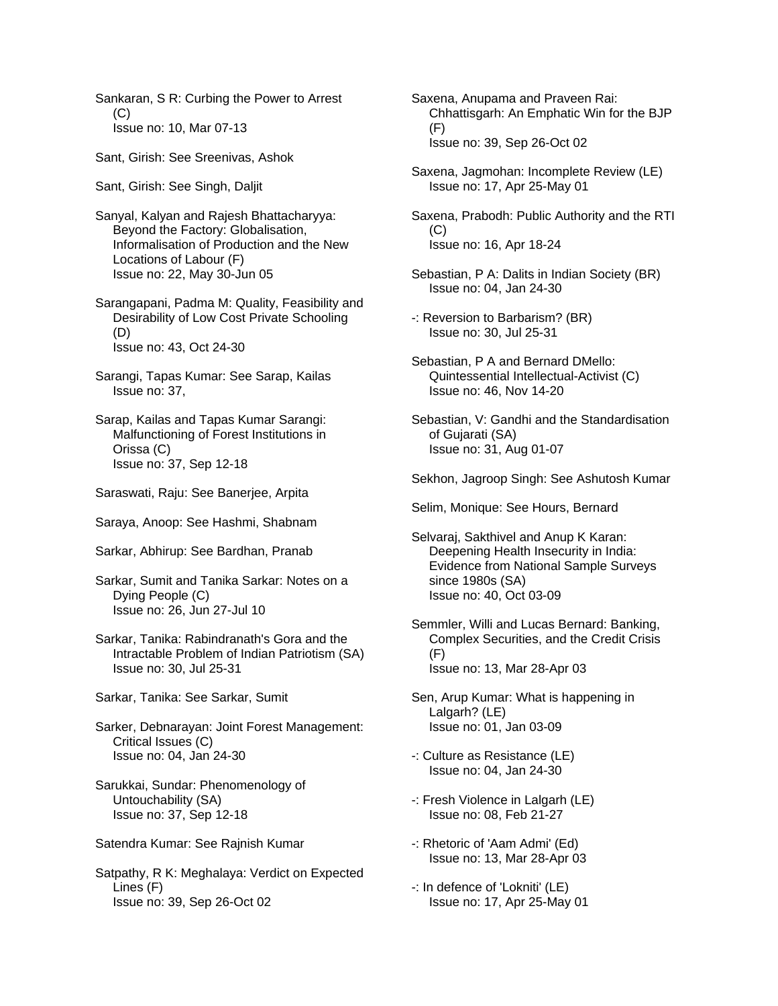Sankaran, S R: Curbing the Power to Arrest (C) Issue no: 10, Mar 07-13

Sant, Girish: See Sreenivas, Ashok

Sant, Girish: See Singh, Daljit

Sanyal, Kalyan and Rajesh Bhattacharyya: Beyond the Factory: Globalisation, Informalisation of Production and the New Locations of Labour (F) Issue no: 22, May 30-Jun 05

Sarangapani, Padma M: Quality, Feasibility and Desirability of Low Cost Private Schooling (D) Issue no: 43, Oct 24-30

Sarangi, Tapas Kumar: See Sarap, Kailas Issue no: 37,

- Sarap, Kailas and Tapas Kumar Sarangi: Malfunctioning of Forest Institutions in Orissa (C) Issue no: 37, Sep 12-18
- Saraswati, Raju: See Banerjee, Arpita
- Saraya, Anoop: See Hashmi, Shabnam
- Sarkar, Abhirup: See Bardhan, Pranab

Sarkar, Sumit and Tanika Sarkar: Notes on a Dying People (C) Issue no: 26, Jun 27-Jul 10

- Sarkar, Tanika: Rabindranath's Gora and the Intractable Problem of Indian Patriotism (SA) Issue no: 30, Jul 25-31
- Sarkar, Tanika: See Sarkar, Sumit
- Sarker, Debnarayan: Joint Forest Management: Critical Issues (C) Issue no: 04, Jan 24-30
- Sarukkai, Sundar: Phenomenology of Untouchability (SA) Issue no: 37, Sep 12-18
- Satendra Kumar: See Rajnish Kumar

Satpathy, R K: Meghalaya: Verdict on Expected Lines (F) Issue no: 39, Sep 26-Oct 02

Saxena, Anupama and Praveen Rai: Chhattisgarh: An Emphatic Win for the BJP  $(F)$ Issue no: 39, Sep 26-Oct 02

- Saxena, Jagmohan: Incomplete Review (LE) Issue no: 17, Apr 25-May 01
- Saxena, Prabodh: Public Authority and the RTI  $(C)$ Issue no: 16, Apr 18-24
- Sebastian, P A: Dalits in Indian Society (BR) Issue no: 04, Jan 24-30
- -: Reversion to Barbarism? (BR) Issue no: 30, Jul 25-31
- Sebastian, P A and Bernard DMello: Quintessential Intellectual-Activist (C) Issue no: 46, Nov 14-20
- Sebastian, V: Gandhi and the Standardisation of Gujarati (SA) Issue no: 31, Aug 01-07
- Sekhon, Jagroop Singh: See Ashutosh Kumar
- Selim, Monique: See Hours, Bernard
- Selvaraj, Sakthivel and Anup K Karan: Deepening Health Insecurity in India: Evidence from National Sample Surveys since 1980s (SA) Issue no: 40, Oct 03-09
- Semmler, Willi and Lucas Bernard: Banking, Complex Securities, and the Credit Crisis (F) Issue no: 13, Mar 28-Apr 03
- Sen, Arup Kumar: What is happening in Lalgarh? (LE) Issue no: 01, Jan 03-09
- -: Culture as Resistance (LE) Issue no: 04, Jan 24-30
- -: Fresh Violence in Lalgarh (LE) Issue no: 08, Feb 21-27
- -: Rhetoric of 'Aam Admi' (Ed) Issue no: 13, Mar 28-Apr 03
- -: In defence of 'Lokniti' (LE) Issue no: 17, Apr 25-May 01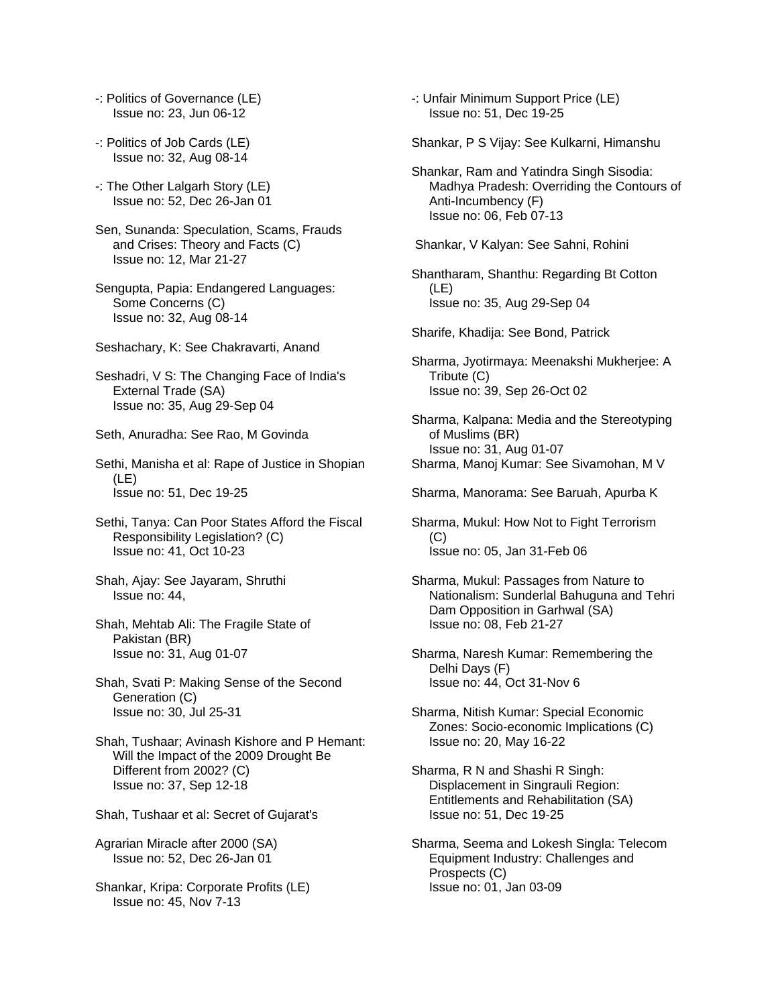- -: Politics of Governance (LE) Issue no: 23, Jun 06-12
- -: Politics of Job Cards (LE) Issue no: 32, Aug 08-14
- -: The Other Lalgarh Story (LE) Issue no: 52, Dec 26-Jan 01
- Sen, Sunanda: Speculation, Scams, Frauds and Crises: Theory and Facts (C) Issue no: 12, Mar 21-27
- Sengupta, Papia: Endangered Languages: Some Concerns (C) Issue no: 32, Aug 08-14
- Seshachary, K: See Chakravarti, Anand
- Seshadri, V S: The Changing Face of India's External Trade (SA) Issue no: 35, Aug 29-Sep 04
- Seth, Anuradha: See Rao, M Govinda
- Sethi, Manisha et al: Rape of Justice in Shopian (LE) Issue no: 51, Dec 19-25
- Sethi, Tanya: Can Poor States Afford the Fiscal Responsibility Legislation? (C) Issue no: 41, Oct 10-23
- Shah, Ajay: See Jayaram, Shruthi Issue no: 44,
- Shah, Mehtab Ali: The Fragile State of Pakistan (BR) Issue no: 31, Aug 01-07
- Shah, Svati P: Making Sense of the Second Generation (C) Issue no: 30, Jul 25-31
- Shah, Tushaar; Avinash Kishore and P Hemant: Will the Impact of the 2009 Drought Be Different from 2002? (C) Issue no: 37, Sep 12-18
- Shah, Tushaar et al: Secret of Gujarat's
- Agrarian Miracle after 2000 (SA) Issue no: 52, Dec 26-Jan 01
- Shankar, Kripa: Corporate Profits (LE) Issue no: 45, Nov 7-13

-: Unfair Minimum Support Price (LE) Issue no: 51, Dec 19-25

Shankar, P S Vijay: See Kulkarni, Himanshu

- Shankar, Ram and Yatindra Singh Sisodia: Madhya Pradesh: Overriding the Contours of Anti-Incumbency (F) Issue no: 06, Feb 07-13
- Shankar, V Kalyan: See Sahni, Rohini
- Shantharam, Shanthu: Regarding Bt Cotton (LE) Issue no: 35, Aug 29-Sep 04
- Sharife, Khadija: See Bond, Patrick
- Sharma, Jyotirmaya: Meenakshi Mukherjee: A Tribute (C) Issue no: 39, Sep 26-Oct 02
- Sharma, Kalpana: Media and the Stereotyping of Muslims (BR) Issue no: 31, Aug 01-07 Sharma, Manoj Kumar: See Sivamohan, M V
- 
- Sharma, Manorama: See Baruah, Apurba K
- Sharma, Mukul: How Not to Fight Terrorism  $(C)$ Issue no: 05, Jan 31-Feb 06
- Sharma, Mukul: Passages from Nature to Nationalism: Sunderlal Bahuguna and Tehri Dam Opposition in Garhwal (SA) Issue no: 08, Feb 21-27
- Sharma, Naresh Kumar: Remembering the Delhi Days (F) Issue no: 44, Oct 31-Nov 6
- Sharma, Nitish Kumar: Special Economic Zones: Socio-economic Implications (C) Issue no: 20, May 16-22
- Sharma, R N and Shashi R Singh: Displacement in Singrauli Region: Entitlements and Rehabilitation (SA) Issue no: 51, Dec 19-25
- Sharma, Seema and Lokesh Singla: Telecom Equipment Industry: Challenges and Prospects (C) Issue no: 01, Jan 03-09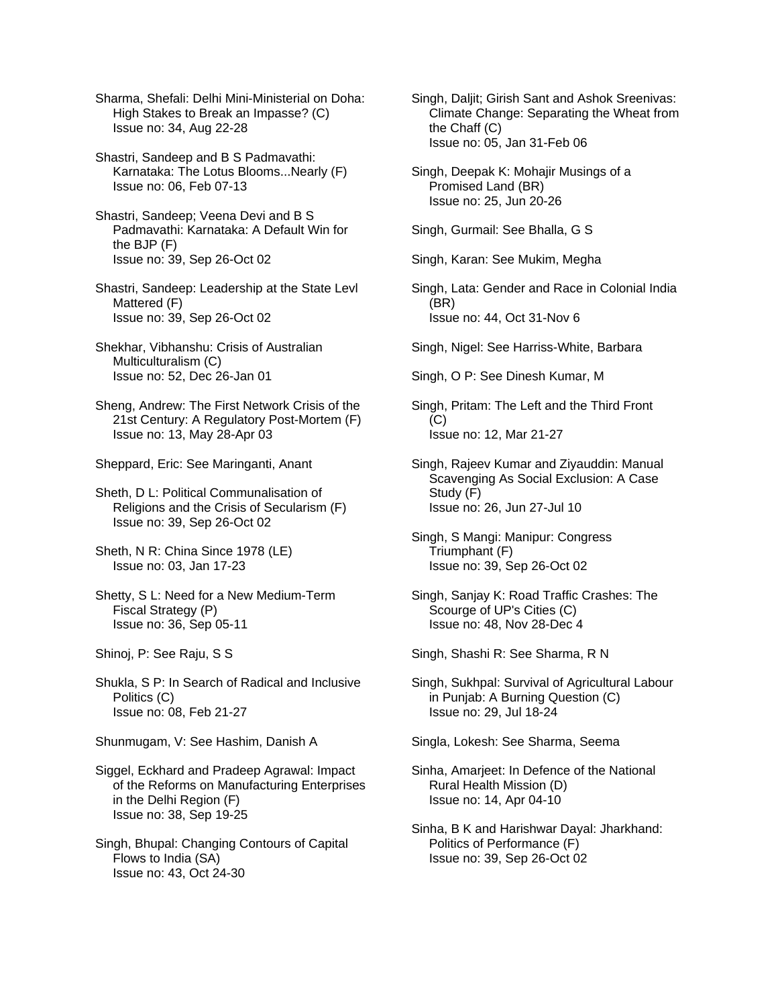Sharma, Shefali: Delhi Mini-Ministerial on Doha: High Stakes to Break an Impasse? (C) Issue no: 34, Aug 22-28

Shastri, Sandeep and B S Padmavathi: Karnataka: The Lotus Blooms...Nearly (F) Issue no: 06, Feb 07-13

- Shastri, Sandeep; Veena Devi and B S Padmavathi: Karnataka: A Default Win for the BJP (F) Issue no: 39, Sep 26-Oct 02
- Shastri, Sandeep: Leadership at the State Levl Mattered (F) Issue no: 39, Sep 26-Oct 02
- Shekhar, Vibhanshu: Crisis of Australian Multiculturalism (C) Issue no: 52, Dec 26-Jan 01
- Sheng, Andrew: The First Network Crisis of the 21st Century: A Regulatory Post-Mortem (F) Issue no: 13, May 28-Apr 03
- Sheppard, Eric: See Maringanti, Anant

Sheth, D L: Political Communalisation of Religions and the Crisis of Secularism (F) Issue no: 39, Sep 26-Oct 02

- Sheth, N R: China Since 1978 (LE) Issue no: 03, Jan 17-23
- Shetty, S L: Need for a New Medium-Term Fiscal Strategy (P) Issue no: 36, Sep 05-11
- Shinoj, P: See Raju, S S
- Shukla, S P: In Search of Radical and Inclusive Politics (C) Issue no: 08, Feb 21-27

Shunmugam, V: See Hashim, Danish A

Siggel, Eckhard and Pradeep Agrawal: Impact of the Reforms on Manufacturing Enterprises in the Delhi Region (F) Issue no: 38, Sep 19-25

Singh, Bhupal: Changing Contours of Capital Flows to India (SA) Issue no: 43, Oct 24-30

- Singh, Daljit; Girish Sant and Ashok Sreenivas: Climate Change: Separating the Wheat from the Chaff (C) Issue no: 05, Jan 31-Feb 06
- Singh, Deepak K: Mohajir Musings of a Promised Land (BR) Issue no: 25, Jun 20-26

Singh, Gurmail: See Bhalla, G S

Singh, Karan: See Mukim, Megha

- Singh, Lata: Gender and Race in Colonial India (BR) Issue no: 44, Oct 31-Nov 6
- Singh, Nigel: See Harriss-White, Barbara

Singh, O P: See Dinesh Kumar, M

Singh, Pritam: The Left and the Third Front (C) Issue no: 12, Mar 21-27

- Singh, Rajeev Kumar and Ziyauddin: Manual Scavenging As Social Exclusion: A Case Study (F) Issue no: 26, Jun 27-Jul 10
- Singh, S Mangi: Manipur: Congress Triumphant (F) Issue no: 39, Sep 26-Oct 02
- Singh, Sanjay K: Road Traffic Crashes: The Scourge of UP's Cities (C) Issue no: 48, Nov 28-Dec 4

Singh, Shashi R: See Sharma, R N

Singh, Sukhpal: Survival of Agricultural Labour in Punjab: A Burning Question (C) Issue no: 29, Jul 18-24

Singla, Lokesh: See Sharma, Seema

- Sinha, Amarjeet: In Defence of the National Rural Health Mission (D) Issue no: 14, Apr 04-10
- Sinha, B K and Harishwar Dayal: Jharkhand: Politics of Performance (F) Issue no: 39, Sep 26-Oct 02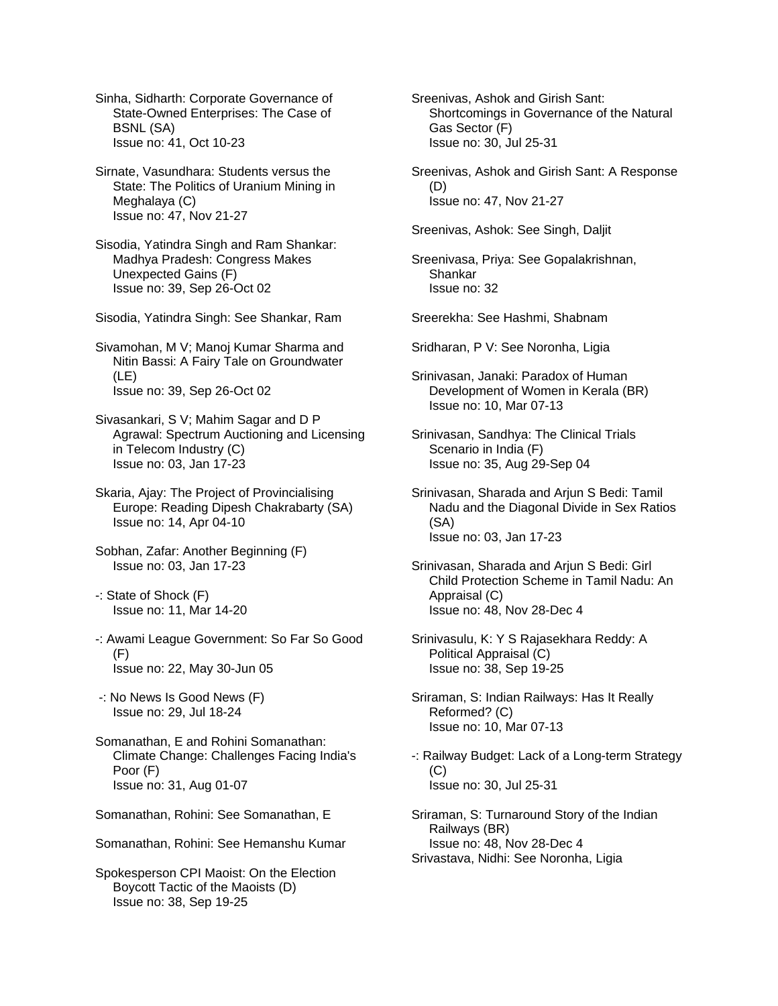Sinha, Sidharth: Corporate Governance of State-Owned Enterprises: The Case of BSNL (SA) Issue no: 41, Oct 10-23

Sirnate, Vasundhara: Students versus the State: The Politics of Uranium Mining in Meghalaya (C) Issue no: 47, Nov 21-27

Sisodia, Yatindra Singh and Ram Shankar: Madhya Pradesh: Congress Makes Unexpected Gains (F) Issue no: 39, Sep 26-Oct 02

Sisodia, Yatindra Singh: See Shankar, Ram

Sivamohan, M V; Manoj Kumar Sharma and Nitin Bassi: A Fairy Tale on Groundwater (LE) Issue no: 39, Sep 26-Oct 02

Sivasankari, S V; Mahim Sagar and D P Agrawal: Spectrum Auctioning and Licensing in Telecom Industry (C) Issue no: 03, Jan 17-23

Skaria, Ajay: The Project of Provincialising Europe: Reading Dipesh Chakrabarty (SA) Issue no: 14, Apr 04-10

Sobhan, Zafar: Another Beginning (F) Issue no: 03, Jan 17-23

-: State of Shock (F) Issue no: 11, Mar 14-20

-: Awami League Government: So Far So Good (F) Issue no: 22, May 30-Jun 05

 -: No News Is Good News (F) Issue no: 29, Jul 18-24

Somanathan, E and Rohini Somanathan: Climate Change: Challenges Facing India's Poor (F) Issue no: 31, Aug 01-07

Somanathan, Rohini: See Somanathan, E

Somanathan, Rohini: See Hemanshu Kumar

Spokesperson CPI Maoist: On the Election Boycott Tactic of the Maoists (D) Issue no: 38, Sep 19-25

Sreenivas, Ashok and Girish Sant: Shortcomings in Governance of the Natural Gas Sector (F) Issue no: 30, Jul 25-31

Sreenivas, Ashok and Girish Sant: A Response (D) Issue no: 47, Nov 21-27

Sreenivas, Ashok: See Singh, Daljit

Sreenivasa, Priya: See Gopalakrishnan, Shankar Issue no: 32

Sreerekha: See Hashmi, Shabnam

Sridharan, P V: See Noronha, Ligia

Srinivasan, Janaki: Paradox of Human Development of Women in Kerala (BR) Issue no: 10, Mar 07-13

Srinivasan, Sandhya: The Clinical Trials Scenario in India (F) Issue no: 35, Aug 29-Sep 04

Srinivasan, Sharada and Arjun S Bedi: Tamil Nadu and the Diagonal Divide in Sex Ratios (SA) Issue no: 03, Jan 17-23

Srinivasan, Sharada and Arjun S Bedi: Girl Child Protection Scheme in Tamil Nadu: An Appraisal (C) Issue no: 48, Nov 28-Dec 4

Srinivasulu, K: Y S Rajasekhara Reddy: A Political Appraisal (C) Issue no: 38, Sep 19-25

Sriraman, S: Indian Railways: Has It Really Reformed? (C) Issue no: 10, Mar 07-13

-: Railway Budget: Lack of a Long-term Strategy (C) Issue no: 30, Jul 25-31

Sriraman, S: Turnaround Story of the Indian Railways (BR) Issue no: 48, Nov 28-Dec 4 Srivastava, Nidhi: See Noronha, Ligia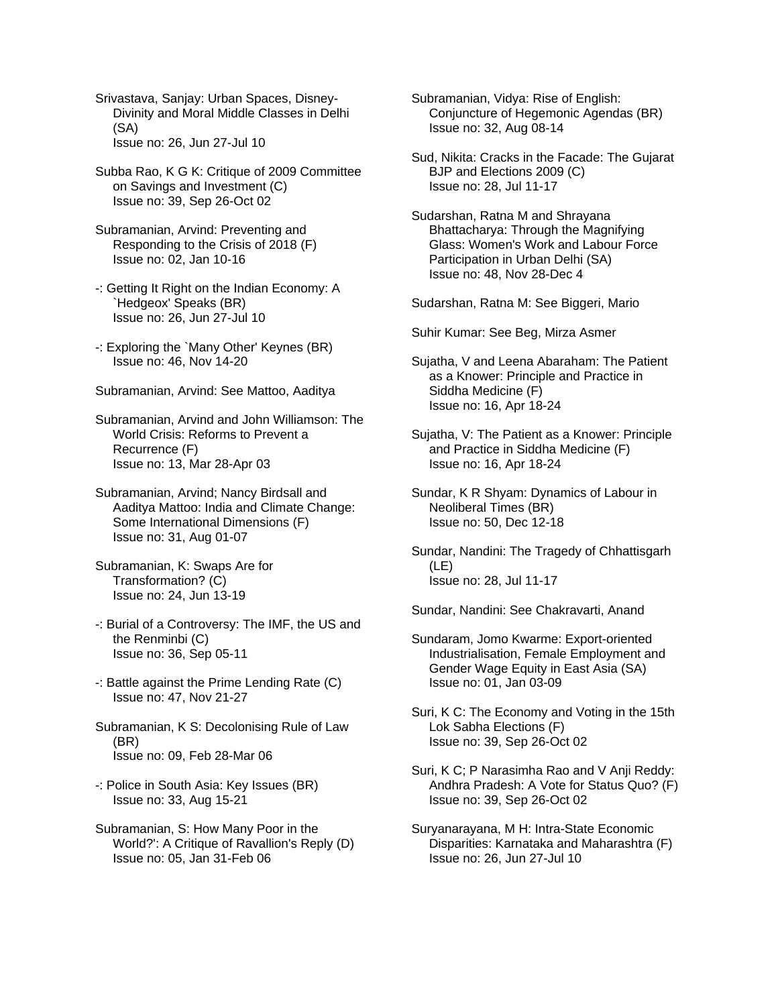Srivastava, Sanjay: Urban Spaces, Disney- Divinity and Moral Middle Classes in Delhi (SA) Issue no: 26, Jun 27-Jul 10

Subba Rao, K G K: Critique of 2009 Committee on Savings and Investment (C) Issue no: 39, Sep 26-Oct 02

- Subramanian, Arvind: Preventing and Responding to the Crisis of 2018 (F) Issue no: 02, Jan 10-16
- -: Getting It Right on the Indian Economy: A `Hedgeox' Speaks (BR) Issue no: 26, Jun 27-Jul 10
- -: Exploring the `Many Other' Keynes (BR) Issue no: 46, Nov 14-20

Subramanian, Arvind: See Mattoo, Aaditya

Subramanian, Arvind and John Williamson: The World Crisis: Reforms to Prevent a Recurrence (F) Issue no: 13, Mar 28-Apr 03

Subramanian, Arvind; Nancy Birdsall and Aaditya Mattoo: India and Climate Change: Some International Dimensions (F) Issue no: 31, Aug 01-07

- Subramanian, K: Swaps Are for Transformation? (C) Issue no: 24, Jun 13-19
- -: Burial of a Controversy: The IMF, the US and the Renminbi (C) Issue no: 36, Sep 05-11
- -: Battle against the Prime Lending Rate (C) Issue no: 47, Nov 21-27

Subramanian, K S: Decolonising Rule of Law (BR) Issue no: 09, Feb 28-Mar 06

- -: Police in South Asia: Key Issues (BR) Issue no: 33, Aug 15-21
- Subramanian, S: How Many Poor in the World?': A Critique of Ravallion's Reply (D) Issue no: 05, Jan 31-Feb 06

Subramanian, Vidya: Rise of English: Conjuncture of Hegemonic Agendas (BR) Issue no: 32, Aug 08-14

Sud, Nikita: Cracks in the Facade: The Gujarat BJP and Elections 2009 (C) Issue no: 28, Jul 11-17

Sudarshan, Ratna M and Shrayana Bhattacharya: Through the Magnifying Glass: Women's Work and Labour Force Participation in Urban Delhi (SA) Issue no: 48, Nov 28-Dec 4

Sudarshan, Ratna M: See Biggeri, Mario

Suhir Kumar: See Beg, Mirza Asmer

- Sujatha, V and Leena Abaraham: The Patient as a Knower: Principle and Practice in Siddha Medicine (F) Issue no: 16, Apr 18-24
- Sujatha, V: The Patient as a Knower: Principle and Practice in Siddha Medicine (F) Issue no: 16, Apr 18-24
- Sundar, K R Shyam: Dynamics of Labour in Neoliberal Times (BR) Issue no: 50, Dec 12-18
- Sundar, Nandini: The Tragedy of Chhattisgarh (LE) Issue no: 28, Jul 11-17

Sundar, Nandini: See Chakravarti, Anand

- Sundaram, Jomo Kwarme: Export-oriented Industrialisation, Female Employment and Gender Wage Equity in East Asia (SA) Issue no: 01, Jan 03-09
- Suri, K C: The Economy and Voting in the 15th Lok Sabha Elections (F) Issue no: 39, Sep 26-Oct 02
- Suri, K C; P Narasimha Rao and V Anji Reddy: Andhra Pradesh: A Vote for Status Quo? (F) Issue no: 39, Sep 26-Oct 02
- Suryanarayana, M H: Intra-State Economic Disparities: Karnataka and Maharashtra (F) Issue no: 26, Jun 27-Jul 10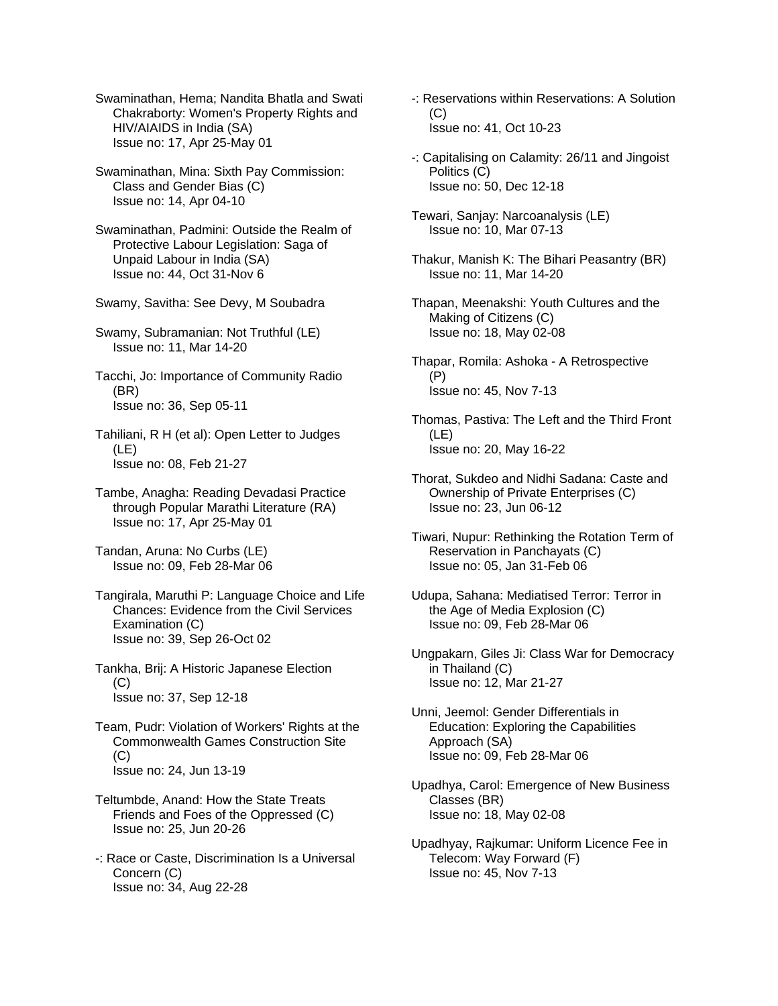Swaminathan, Hema; Nandita Bhatla and Swati Chakraborty: Women's Property Rights and HIV/AIAIDS in India (SA) Issue no: 17, Apr 25-May 01

Swaminathan, Mina: Sixth Pay Commission: Class and Gender Bias (C) Issue no: 14, Apr 04-10

Swaminathan, Padmini: Outside the Realm of Protective Labour Legislation: Saga of Unpaid Labour in India (SA) Issue no: 44, Oct 31-Nov 6

Swamy, Savitha: See Devy, M Soubadra

Swamy, Subramanian: Not Truthful (LE) Issue no: 11, Mar 14-20

Tacchi, Jo: Importance of Community Radio (BR) Issue no: 36, Sep 05-11

Tahiliani, R H (et al): Open Letter to Judges  $(I F)$ Issue no: 08, Feb 21-27

Tambe, Anagha: Reading Devadasi Practice through Popular Marathi Literature (RA) Issue no: 17, Apr 25-May 01

Tandan, Aruna: No Curbs (LE) Issue no: 09, Feb 28-Mar 06

Tangirala, Maruthi P: Language Choice and Life Chances: Evidence from the Civil Services Examination (C) Issue no: 39, Sep 26-Oct 02

Tankha, Brij: A Historic Japanese Election (C) Issue no: 37, Sep 12-18

Team, Pudr: Violation of Workers' Rights at the Commonwealth Games Construction Site (C) Issue no: 24, Jun 13-19

- Teltumbde, Anand: How the State Treats Friends and Foes of the Oppressed (C) Issue no: 25, Jun 20-26
- -: Race or Caste, Discrimination Is a Universal Concern (C) Issue no: 34, Aug 22-28
- -: Reservations within Reservations: A Solution (C) Issue no: 41, Oct 10-23
- -: Capitalising on Calamity: 26/11 and Jingoist Politics (C) Issue no: 50, Dec 12-18

Tewari, Sanjay: Narcoanalysis (LE) Issue no: 10, Mar 07-13

- Thakur, Manish K: The Bihari Peasantry (BR) Issue no: 11, Mar 14-20
- Thapan, Meenakshi: Youth Cultures and the Making of Citizens (C) Issue no: 18, May 02-08
- Thapar, Romila: Ashoka A Retrospective (P) Issue no: 45, Nov 7-13
- Thomas, Pastiva: The Left and the Third Front (LE) Issue no: 20, May 16-22
- Thorat, Sukdeo and Nidhi Sadana: Caste and Ownership of Private Enterprises (C) Issue no: 23, Jun 06-12
- Tiwari, Nupur: Rethinking the Rotation Term of Reservation in Panchayats (C) Issue no: 05, Jan 31-Feb 06
- Udupa, Sahana: Mediatised Terror: Terror in the Age of Media Explosion (C) Issue no: 09, Feb 28-Mar 06
- Ungpakarn, Giles Ji: Class War for Democracy in Thailand (C) Issue no: 12, Mar 21-27
- Unni, Jeemol: Gender Differentials in Education: Exploring the Capabilities Approach (SA) Issue no: 09, Feb 28-Mar 06
- Upadhya, Carol: Emergence of New Business Classes (BR) Issue no: 18, May 02-08
- Upadhyay, Rajkumar: Uniform Licence Fee in Telecom: Way Forward (F) Issue no: 45, Nov 7-13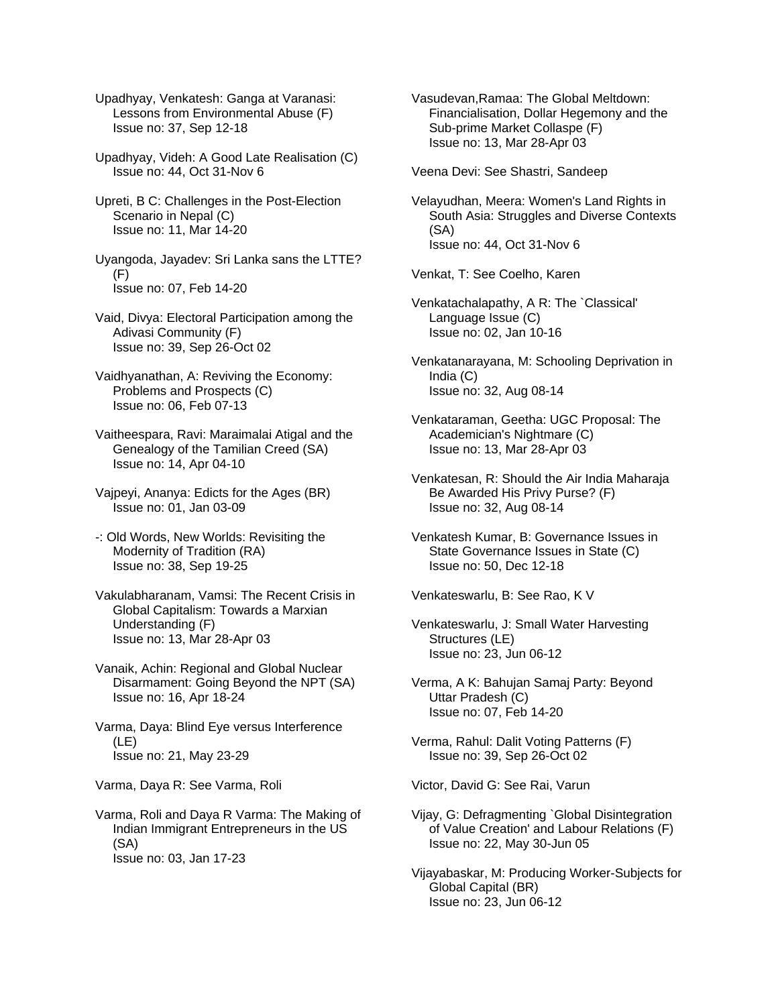Upadhyay, Venkatesh: Ganga at Varanasi: Lessons from Environmental Abuse (F) Issue no: 37, Sep 12-18

Upadhyay, Videh: A Good Late Realisation (C) Issue no: 44, Oct 31-Nov 6

Upreti, B C: Challenges in the Post-Election Scenario in Nepal (C) Issue no: 11, Mar 14-20

Uyangoda, Jayadev: Sri Lanka sans the LTTE? (F) Issue no: 07, Feb 14-20

Vaid, Divya: Electoral Participation among the Adivasi Community (F) Issue no: 39, Sep 26-Oct 02

Vaidhyanathan, A: Reviving the Economy: Problems and Prospects (C) Issue no: 06, Feb 07-13

Vaitheespara, Ravi: Maraimalai Atigal and the Genealogy of the Tamilian Creed (SA) Issue no: 14, Apr 04-10

Vajpeyi, Ananya: Edicts for the Ages (BR) Issue no: 01, Jan 03-09

-: Old Words, New Worlds: Revisiting the Modernity of Tradition (RA) Issue no: 38, Sep 19-25

Vakulabharanam, Vamsi: The Recent Crisis in Global Capitalism: Towards a Marxian Understanding (F) Issue no: 13, Mar 28-Apr 03

Vanaik, Achin: Regional and Global Nuclear Disarmament: Going Beyond the NPT (SA) Issue no: 16, Apr 18-24

Varma, Daya: Blind Eye versus Interference (LE) Issue no: 21, May 23-29

Varma, Daya R: See Varma, Roli

Varma, Roli and Daya R Varma: The Making of Indian Immigrant Entrepreneurs in the US (SA) Issue no: 03, Jan 17-23

Vasudevan,Ramaa: The Global Meltdown: Financialisation, Dollar Hegemony and the Sub-prime Market Collaspe (F) Issue no: 13, Mar 28-Apr 03

Veena Devi: See Shastri, Sandeep

Velayudhan, Meera: Women's Land Rights in South Asia: Struggles and Diverse Contexts (SA) Issue no: 44, Oct 31-Nov 6

Venkat, T: See Coelho, Karen

Venkatachalapathy, A R: The `Classical' Language Issue (C) Issue no: 02, Jan 10-16

Venkatanarayana, M: Schooling Deprivation in India (C) Issue no: 32, Aug 08-14

Venkataraman, Geetha: UGC Proposal: The Academician's Nightmare (C) Issue no: 13, Mar 28-Apr 03

Venkatesan, R: Should the Air India Maharaja Be Awarded His Privy Purse? (F) Issue no: 32, Aug 08-14

Venkatesh Kumar, B: Governance Issues in State Governance Issues in State (C) Issue no: 50, Dec 12-18

Venkateswarlu, B: See Rao, K V

Venkateswarlu, J: Small Water Harvesting Structures (LE) Issue no: 23, Jun 06-12

Verma, A K: Bahujan Samaj Party: Beyond Uttar Pradesh (C) Issue no: 07, Feb 14-20

Verma, Rahul: Dalit Voting Patterns (F) Issue no: 39, Sep 26-Oct 02

Victor, David G: See Rai, Varun

Vijay, G: Defragmenting `Global Disintegration of Value Creation' and Labour Relations (F) Issue no: 22, May 30-Jun 05

Vijayabaskar, M: Producing Worker-Subjects for Global Capital (BR) Issue no: 23, Jun 06-12